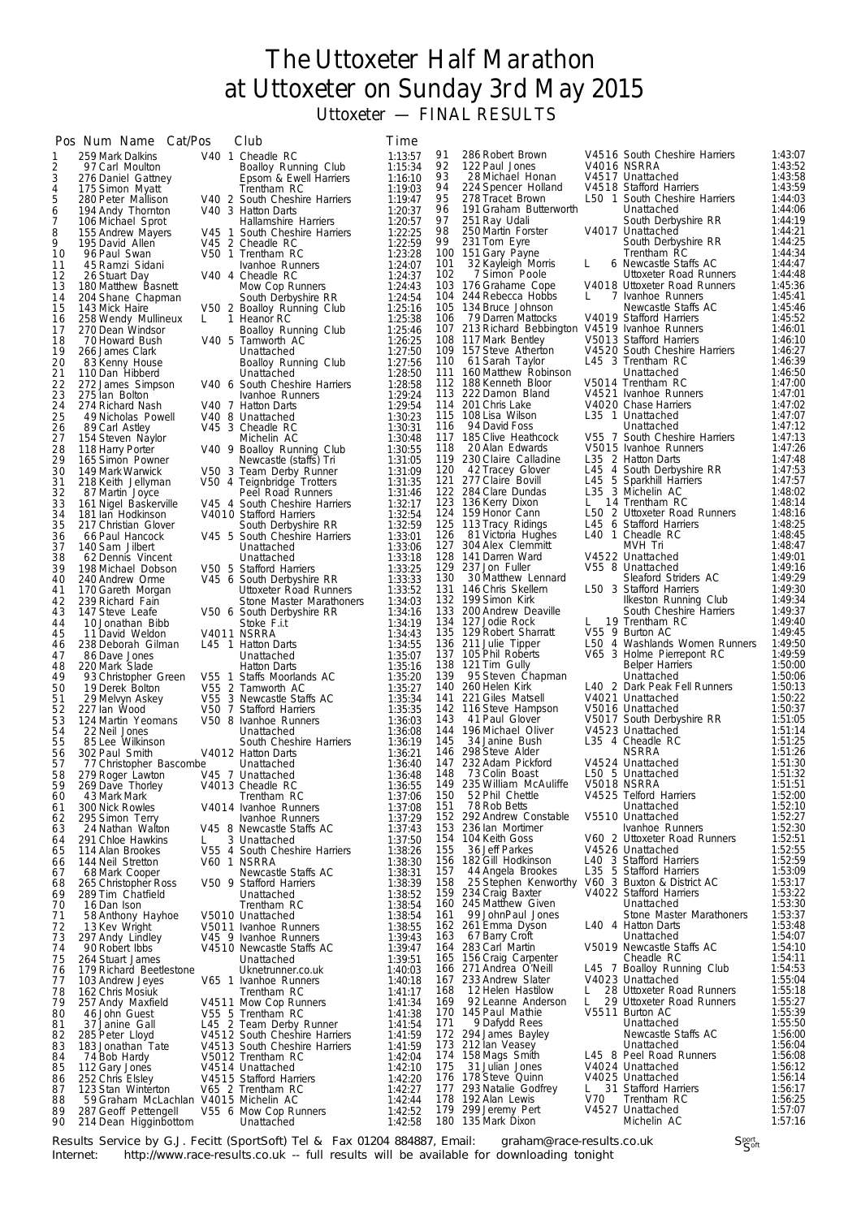## The Uttoxeter Half Marathon at Uttoxeter on Sunday 3rd May 2015 Uttoxeter — FINAL RESULTS

| 91<br>V4516 South Cheshire Harriers<br>1:43:07<br>286 Robert Brown<br>V40 1 Cheadle RC<br>1:13:57<br>259 Mark Dalkins<br>1<br>92<br>122 Paul Jones<br>V4016 NSRRA<br>1:43:52<br>2<br>1:15:34<br>97 Carl Moulton<br>Boalloy Running Club<br>1:43:58<br>3<br>93<br>V4517 Unattached<br>28 Michael Honan<br>1:16:10<br>276 Daniel Gattney<br>Epsom & Ewell Harriers<br>4<br>1:43:59<br>94<br>224 Spencer Holland<br>V4518 Stafford Harriers<br>175 Simon Myatt<br>Trentham RC<br>1:19:03<br>95<br>1:44:03<br>5<br>278 Tracet Brown<br>L50 1 South Cheshire Harriers<br>280 Peter Mallison<br>V40 2 South Cheshire Harriers<br>1:19:47<br>1:44:06<br>96<br>191 Graham Butterworth<br>6<br>Unattached<br>V40 3 Hatton Darts<br>194 Andy Thornton<br>1:20:37<br>97<br>1:44:19<br>251 Ray Udali<br>South Derbyshire RR<br>7<br>1:20:57<br>106 Michael Sprot<br>Hallamshire Harriers<br>98<br>V4017 Unattached<br>250 Martin Forster<br>1:44:21<br>8<br>1:22:25<br>155 Andrew Mayers<br>V45 1 South Cheshire Harriers<br>99<br>1:44:25<br>231 Tom Eyre<br>South Derbyshire RR<br>9<br>1:22:59<br>195 David Allen<br>V45 2 Cheadle RC<br>1:44:34<br>100 151 Gary Payne<br>Trentham RC<br>V50 1 Trentham RC<br>1:23:28<br>10<br>96 Paul Swan<br>1:44:47<br>101<br>32 Kayleigh Morris<br>6 Newcastle Staffs AC<br>1:24:07<br>11<br>45 Ramzi Sidani<br>Ivanhoe Runners<br>L<br>1:44:48<br>102<br>7 Simon Poole<br>Uttoxeter Road Runners<br>1:24:37<br>12<br>V40 4 Cheadle RC<br>26 Stuart Day<br>1:45:36<br>103 176 Grahame Cope<br>V4018 Uttoxeter Road Runners<br>1:24:43<br>13<br>180 Matthew Basnett<br>Mow Cop Runners<br>1:45:41<br>104 244 Rebecca Hobbs<br>7 Ivanhoe Runners<br>L.<br>1:24:54<br>14<br>204 Shane Chapman<br>South Derbyshire RR<br>1:45:46<br>105 134 Bruce Johnson<br>Newcastle Staffs AC<br>1:25:16<br>15<br>143 Mick Haire<br>V50 2 Boalloy Running Club<br>1:45:52<br>V4019 Stafford Harriers<br>106<br>79 Darren Mattocks<br>16<br>258 Wendy Mullineux<br>1 Heanor RC<br>1:25:38<br>L.<br>107 213 Richard Bebbington V4519 Ivanhoe Runners<br>1:46:01<br>17<br>270 Dean Windsor<br>Boalloy Running Club<br>1:25:46<br>1:46:10<br>108 117 Mark Bentley<br>V5013 Stafford Harriers<br>1:26:25<br>18<br>70 Howard Bush<br>V40 5 Tamworth AC<br>1:46:27<br>109 157 Steve Atherton<br>V4520 South Cheshire Harriers<br>1:27:50<br>19<br>266 James Clark<br>Unattached<br>1:46:39<br>L45 3 Trentham RC<br>110<br>61 Sarah Taylor<br>1:27:56<br>20<br>83 Kenny House<br>Boalloy Running Club<br>1:46:50<br>111<br>160 Matthew Robinson<br>1:28:50<br>Unattached<br>21<br>110 Dan Hibberd<br>Unattached<br>1:47:00<br>112 188 Kenneth Bloor<br>V5014 Trentham RC<br>22<br>1:28:58<br>272 James Simpson<br>V40 6 South Cheshire Harriers<br>1:47:01<br>113 222 Damon Bland<br>V4521 Ivanhoe Runners<br>23<br>1:29:24<br>275 Ian Bolton<br>Ivanhoe Runners<br>1:47:02<br>1:29:54<br>114 201 Chris Lake<br>V4020 Chase Harriers<br>24<br>274 Richard Nash<br>V40 7 Hatton Darts<br>1:47:07<br>115 108 Lisa Wilson<br>L35 1 Unattached<br>25<br>1:30:23<br>49 Nicholas Powell<br>V40 8 Unattached<br>1:47:12<br>116<br>94 David Foss<br>Unattached<br>V45 3 Cheadle RC<br>1:30:31<br>26<br>89 Carl Astley<br>V55 7 South Cheshire Harriers<br>1:47:13<br>117 185 Clive Heathcock<br>1:30:48<br>27<br>154 Steven Naylor<br>Michelin AC<br>1:47:26<br>V5015 Ivanhoe Runners<br>118<br>20 Alan Edwards<br>28<br>118 Harry Porter<br>V40 9 Boalloy Running Club<br>1:30:55<br>1:47:48<br>119<br>230 Claire Calladine<br>L35 2 Hatton Darts<br>29<br>165 Simon Powner<br>Newcastle (staffs) Tri<br>1:31:05<br>1:47:53<br>120<br>42 Tracey Glover<br>L45 4 South Derbyshire RR<br>30<br>149 Mark Warwick<br>V50 3 Team Derby Runner<br>1:31:09<br>L45 5 Sparkhill Harriers<br>L35 3 Michelin AC<br>1:47:57<br>121<br>277 Claire Bovill<br>1:31:35<br>31<br>218 Keith Jellyman<br>V50 4 Teignbridge Trotters<br>1:48:02<br>122 284 Clare Dundas<br>32<br>1:31:46<br>Peel Road Runners<br>87 Martin Joyce<br>1:48:14<br>123 136 Kerry Dixon<br>L.<br>14 Trentham RC<br>33<br>1:32:17<br>161 Nigel Baskerville<br>V45 4 South Cheshire Harriers<br>1:48:16<br>124 159 Honor Cann<br>L50 2 Uttoxeter Road Runners<br>1:32:54<br>34<br>181 Ian Hodkinson<br>V4010 Stafford Harriers<br>L45 6 Stafford Harriers<br>1:48:25<br>1:32:59<br>125 113 Tracy Ridings<br>35<br>217 Christian Glover<br>South Derbyshire RR<br>1:48:45<br>L40 1 Cheadle RC<br>126<br>81 Victoria Hughes<br>1:33:01<br>36<br>66 Paul Hancock<br>V45 5 South Cheshire Harriers<br>1:48:47<br>127 304 Alex Clemmitt<br>MVH Tri<br>1:33:06<br>37<br>140 Sam Jilbert<br>Unattached<br>128 141 Darren Ward<br>V4522 Unattached<br>1:49:01<br>38<br>62 Dennis Vincent<br>Unattached<br>1:33:18<br>V55 8 Unattached<br>1:49:16<br>129 237 Jon Fuller<br>1:33:25<br>39<br>198 Michael Dobson<br>V50 5 Stafford Harriers<br>1:49:29<br>130<br>30 Matthew Lennard<br>Sleaford Striders AC<br>1:33:33<br>40<br>240 Andrew Orme<br>V45 6 South Derbyshire RR<br>1:49:30<br>131<br>146 Chris Skellern<br>L50 3 Stafford Harriers<br>1:33:52<br>41<br>170 Gareth Morgan<br>Uttoxeter Road Runners<br>132 199 Simon Kirk<br>1:49:34<br>1:34:03<br>Ilkeston Running Club<br>42<br>239 Richard Fain<br>Stone Master Marathoners<br>1:49:37<br>133 200 Andrew Deaville<br>1:34:16<br>South Cheshire Harriers<br>43<br>147 Steve Leafe<br>V50 6 South Derbyshire RR<br>1:49:40<br>134 127 Jodie Rock<br>L 19 Trentham RC<br>1:34:19<br>44<br>Stoke F.i.t<br>10 Jonathan Bibb<br>V55 9 Burton AC<br>1:49:45<br>135 129 Robert Sharratt<br>1:34:43<br>45<br>V4011 NSRRA<br>11 David Weldon<br>1:49:50<br>136 211 Julie Tipper<br>L50 4 Washlands Women Runners<br>1:34:55<br>238 Deborah Gilman<br>L45 1 Hatton Darts<br>46<br>V65 3 Holme Pierrepont RC<br>1:49:59<br>137 105 Phil Roberts<br>47<br>86 Dave Jones<br>1:35:07<br>Unattached<br>138<br>1:50:00<br>121 Tim Gully<br><b>Belper Harriers</b><br>48<br>220 Mark Slade<br>1:35:16<br><b>Hatton Darts</b><br>1:50:06<br>139<br>1:35:20<br>95 Steven Chapman<br>Unattached<br>49<br>93 Christopher Green<br>V55 1 Staffs Moorlands AC<br>L40 2 Dark Peak Fell Runners<br>1:50:13<br>140<br>260 Helen Kirk<br>50<br>V55 2 Tamworth AC<br>1:35:27<br>19 Derek Bolton<br>1:50:22<br>V4021 Unattached<br>1:35:34<br>141<br>221 Giles Matsell<br>51<br>29 Melvyn Askey<br>V55 3 Newcastle Staffs AC<br>1:50:37<br>52<br>142 116 Steve Hampson<br>V5016 Unattached<br>1:35:35<br>227 Ian Wood<br>V50 7 Stafford Harriers<br>1:51:05<br>143<br>V5017 South Derbyshire RR<br>53<br>1:36:03<br>41 Paul Glover<br>124 Martin Yeomans<br>V50 8 Ivanhoe Runners<br>1:51:14<br>144 196 Michael Oliver<br>V4523 Unattached<br>54<br>1:36:08<br>22 Neil Jones<br>Unattached<br>1:51:25<br>34 Janine Bush<br>L35 4 Cheadle RC<br>1:36:19<br>145<br>55<br>South Cheshire Harriers<br>85 Lee Wilkinson<br>1:51:26<br>298 Steve Alder<br><b>NSRRA</b><br>146<br>56<br>302 Paul Smith<br>V4012 Hatton Darts<br>1:36:21<br>147 232 Adam Pickford<br>V4524 Unattached<br>1:51:30<br>57<br>77 Christopher Bascombe<br>1:36:40<br>Unattached<br>148 73 Colin Boast<br>L50 5 Unattached<br>1:51:32<br>58<br>279 Roger Lawton<br>V45 7 Unattached<br>1:36:48<br>V5018 NSRRA<br>235 William McAuliffe<br>1:51:51<br>V4013 Cheadle RC<br>1:36:55<br>149<br>59<br>269 Dave Thorley<br>1:52:00<br>52 Phil Chettle<br>V4525 Telford Harriers<br>1:37:06<br>150<br>60<br>43 Mark Mark<br>Trentham RC<br>1:52:10<br>151<br>78 Rob Betts<br>300 Nick Rowles<br>Unattached<br>V4014 Ivanhoe Runners<br>1:37:08<br>61<br>292 Andrew Constable<br>V5510 Unattached<br>1:52:27<br>152<br>1:37:29<br>295 Simon Terry<br>Ivanhoe Runners<br>62<br>1:52:30<br>236 Ian Mortimer<br>1:37:43<br>153<br>Ivanhoe Runners<br>24 Nathan Walton<br>V45 8 Newcastle Staffs AC<br>63<br>1:52:51<br>154<br>104 Keith Goss<br>V60 2 Uttoxeter Road Runners<br>1:37:50<br>291 Chloe Hawkins<br>3 Unattached<br>64<br>L<br>1:52:55<br>155<br>36 Jeff Parkes<br>V4526 Unattached<br>1:38:26<br>114 Alan Brookes<br>V55 4 South Cheshire Harriers<br>65<br>1:52:59<br>156 182 Gill Hodkinson<br>L40 3 Stafford Harriers<br>1:38:30<br>144 Neil Stretton<br>V60 1 NSRRA<br>66<br>L35 5 Stafford Harriers<br>1:53:09<br>157<br>44 Angela Brookes<br>1:38:31<br>68 Mark Cooper<br>Newcastle Staffs AC<br>67<br>1:53:17<br>25 Stephen Kenworthy V60 3 Buxton & District AC<br>158<br>1:38:39<br>265 Christopher Ross<br>V50 9 Stafford Harriers<br>68<br>1:53:22<br>V4022 Stafford Harriers<br>159 234 Craig Baxter<br>1:38:52<br>289 Tim Chatfield<br>Unattached<br>69<br>1:53:30<br>160 245 Matthew Given<br>Unattached<br>1:38:54<br>70<br>16 Dan Ison<br>Trentham RC<br>1:53:37<br>99 JohnPaul Jones<br>161<br>Stone Master Marathoners<br>1:38:54<br>71<br>58 Anthony Hayhoe<br>V5010 Unattached<br>1:53:48<br>162<br>261 Emma Dyson<br>L40 4 Hatton Darts<br>1:38:55<br>72<br>13 Kev Wright<br>V5011 Ivanhoe Runners<br>1:54:07<br>67 Barry Croft<br>1:39:43<br>163<br>Unattached<br>73<br>297 Andy Lindley<br>V45 9 Ivanhoe Runners<br>164 283 Carl Martin<br>V5019 Newcastle Staffs AC<br>1:54:10<br>1:39:47<br>74<br>90 Robert Ibbs<br>V4510 Newcastle Staffs AC<br>1:54:11<br>165 156 Craig Carpenter<br>1:39:51<br>Cheadle RC<br>75<br>264 Stuart James<br>Unattached<br>1:54:53<br>L45 7 Boalloy Running Club<br>271 Andrea O'Neill<br>1:40:03<br>166<br>179 Richard Beetlestone<br>Uknetrunner.co.uk<br>76<br>1:55:04<br>V4023 Unattached<br>233 Andrew Slater<br>167<br>77<br>103 Andrew Jeyes<br>V65 1 Ivanhoe Runners<br>1:40:18<br>1:55:18<br>168<br>12 Helen Hastilow<br>28 Uttoxeter Road Runners<br>1:41:17<br>78<br>162 Chris Mosiuk<br>Trentham RC<br>L.<br>1:55:27<br>29 Uttoxeter Road Runners<br>169<br>92 Leanne Anderson<br>L<br>79<br>257 Andy Maxfield<br>V4511 Mow Cop Runners<br>1:41:34<br>1:55:39<br>V5511 Burton AC<br>170<br>145 Paul Mathie<br>1:41:38<br>80<br>46 John Guest<br>V55 5 Trentham RC<br>1:55:50<br>171<br>9 Dafydd Rees<br>Unattached<br>81<br>37 Janine Gall<br>L45 2 Team Derby Runner<br>1:41:54<br>172 294 James Bayley<br>Newcastle Staffs AC<br>1:56:00<br>V4512 South Cheshire Harriers<br>1:41:59<br>82<br>285 Peter Lloyd<br>1:56:04<br>173 212 lan Veasey<br>Unattached<br>83<br>183 Jonathan Tate<br>V4513 South Cheshire Harriers<br>1:41:59<br>158 Mags Smith<br>1:56:08<br>174<br>L45 8 Peel Road Runners<br>V5012 Trentham RC<br>1:42:04<br>84<br>74 Bob Hardy<br>1:56:12<br>175<br>31 Julian Jones<br>V4024 Unattached<br>1:42:10<br>85<br>112 Gary Jones<br>V4514 Unattached<br>176 178 Steve Quinn<br>1:56:14<br>V4025 Unattached<br>V4515 Stafford Harriers<br>1:42:20<br>252 Chris Elsley<br>86<br>31 Stafford Harriers<br>1:56:17<br>293 Natalie Godfrey<br>L.<br>1:42:27<br>177<br>87<br>123 Stan Winterton<br>V65 2 Trentham RC<br>1:56:25<br>178<br>192 Alan Lewis<br>V70<br>Trentham RC<br>1:42:44<br>88<br>59 Graham McLachlan V4015 Michelin AC<br>1:57:07<br>179 299 Jeremy Pert<br>V4527 Unattached<br>89<br>287 Geoff Pettengell<br>V55 6 Mow Cop Runners<br>1:42:52<br>180 135 Mark Dixon<br>1:57:16<br>Michelin AC<br>1:42:58<br>90<br>214 Dean Higginbottom<br>Unattached | Pos Num Name Cat/Pos | Club | Time |  |  |  |
|-----------------------------------------------------------------------------------------------------------------------------------------------------------------------------------------------------------------------------------------------------------------------------------------------------------------------------------------------------------------------------------------------------------------------------------------------------------------------------------------------------------------------------------------------------------------------------------------------------------------------------------------------------------------------------------------------------------------------------------------------------------------------------------------------------------------------------------------------------------------------------------------------------------------------------------------------------------------------------------------------------------------------------------------------------------------------------------------------------------------------------------------------------------------------------------------------------------------------------------------------------------------------------------------------------------------------------------------------------------------------------------------------------------------------------------------------------------------------------------------------------------------------------------------------------------------------------------------------------------------------------------------------------------------------------------------------------------------------------------------------------------------------------------------------------------------------------------------------------------------------------------------------------------------------------------------------------------------------------------------------------------------------------------------------------------------------------------------------------------------------------------------------------------------------------------------------------------------------------------------------------------------------------------------------------------------------------------------------------------------------------------------------------------------------------------------------------------------------------------------------------------------------------------------------------------------------------------------------------------------------------------------------------------------------------------------------------------------------------------------------------------------------------------------------------------------------------------------------------------------------------------------------------------------------------------------------------------------------------------------------------------------------------------------------------------------------------------------------------------------------------------------------------------------------------------------------------------------------------------------------------------------------------------------------------------------------------------------------------------------------------------------------------------------------------------------------------------------------------------------------------------------------------------------------------------------------------------------------------------------------------------------------------------------------------------------------------------------------------------------------------------------------------------------------------------------------------------------------------------------------------------------------------------------------------------------------------------------------------------------------------------------------------------------------------------------------------------------------------------------------------------------------------------------------------------------------------------------------------------------------------------------------------------------------------------------------------------------------------------------------------------------------------------------------------------------------------------------------------------------------------------------------------------------------------------------------------------------------------------------------------------------------------------------------------------------------------------------------------------------------------------------------------------------------------------------------------------------------------------------------------------------------------------------------------------------------------------------------------------------------------------------------------------------------------------------------------------------------------------------------------------------------------------------------------------------------------------------------------------------------------------------------------------------------------------------------------------------------------------------------------------------------------------------------------------------------------------------------------------------------------------------------------------------------------------------------------------------------------------------------------------------------------------------------------------------------------------------------------------------------------------------------------------------------------------------------------------------------------------------------------------------------------------------------------------------------------------------------------------------------------------------------------------------------------------------------------------------------------------------------------------------------------------------------------------------------------------------------------------------------------------------------------------------------------------------------------------------------------------------------------------------------------------------------------------------------------------------------------------------------------------------------------------------------------------------------------------------------------------------------------------------------------------------------------------------------------------------------------------------------------------------------------------------------------------------------------------------------------------------------------------------------------------------------------------------------------------------------------------------------------------------------------------------------------------------------------------------------------------------------------------------------------------------------------------------------------------------------------------------------------------------------------------------------------------------------------------------------------------------------------------------------------------------------------------------------------------------------------------------------------------------------------------------------------------------------------------------------------------------------------------------------------------------------------------------------------------------------------------------------------------------------------------------------------------------------------------------------------------------------------------------------------------------------------------------------------------------------------------------------------------------------------------------------------------------------------------------------------------------------------------------------------------------------------------------------------------------------------------------------------------------------------------------------------------------------------------------------------------------------------------------------------------------------------------------------------------------------------------------------------------------------------------------------------------------------------------------------------------------------------------------------------------------------------------------------------------------------------------------------------------------------------------------------------------------------------------------------------------------------------------------------------------------------------------------------------------------------------------------------------------------------------------------------------------------------------------------------------------------------------------------------------------------------------------------------------------------------------------------------------------------------------------------------------------------------------------------------------------------------------------------------------------------------------------------------------------------------------------------------------------------------------------------------------------------------------------------------------------------------------------------------------------------------------------------------------------------------------------------------------------------------------------------------------------------------------------------------------------------------------------------------------------------------------------------------------------------------------------------------------------------------------------------------------------------------------------------------------------------------------------------------------------------------------------------------------------------------------------------------------------------------------------------------------------------------------------------------------------------------------------------------------------------------------------------------------------------------------------------------------------------------------------------------------------------------------------------------------------------------------------------------------------------------------------------------------------------------------------------------------------------------------------------------------------------------------------------------------------------------------------------------------------------------------------------------------------------------------------------------------------------------------------------------------------------------------------------------------------------------------------------------------------------------------------------------------|----------------------|------|------|--|--|--|
|                                                                                                                                                                                                                                                                                                                                                                                                                                                                                                                                                                                                                                                                                                                                                                                                                                                                                                                                                                                                                                                                                                                                                                                                                                                                                                                                                                                                                                                                                                                                                                                                                                                                                                                                                                                                                                                                                                                                                                                                                                                                                                                                                                                                                                                                                                                                                                                                                                                                                                                                                                                                                                                                                                                                                                                                                                                                                                                                                                                                                                                                                                                                                                                                                                                                                                                                                                                                                                                                                                                                                                                                                                                                                                                                                                                                                                                                                                                                                                                                                                                                                                                                                                                                                                                                                                                                                                                                                                                                                                                                                                                                                                                                                                                                                                                                                                                                                                                                                                                                                                                                                                                                                                                                                                                                                                                                                                                                                                                                                                                                                                                                                                                                                                                                                                                                                                                                                                                                                                                                                                                                                                                                                                                                                                                                                                                                                                                                                                                                                                                                                                                                                                                                                                                                                                                                                                                                                                                                                                                                                                                                                                                                                                                                                                                                                                                                                                                                                                                                                                                                                                                                                                                                                                                                                                                                                                                                                                                                                                                                                                                                                                                                                                                                                                                                                                                                                                                                                                                                                                                                                                                                                                                                                                                                                                                                                                                                                                                                                                                                                                                                                                                                                                                                                                                                                                                                                                                                                                                                                                                                                                                                                                                                                                                                                                                                                                                                                                                                                                                                                                                                                                                                                                                                                                                                                                                                                                                                                                                                                                                                                                                                                                                                                                                                                                                                                                                                                                                                                                                                                                                                                                                                                                                                     |                      |      |      |  |  |  |
|                                                                                                                                                                                                                                                                                                                                                                                                                                                                                                                                                                                                                                                                                                                                                                                                                                                                                                                                                                                                                                                                                                                                                                                                                                                                                                                                                                                                                                                                                                                                                                                                                                                                                                                                                                                                                                                                                                                                                                                                                                                                                                                                                                                                                                                                                                                                                                                                                                                                                                                                                                                                                                                                                                                                                                                                                                                                                                                                                                                                                                                                                                                                                                                                                                                                                                                                                                                                                                                                                                                                                                                                                                                                                                                                                                                                                                                                                                                                                                                                                                                                                                                                                                                                                                                                                                                                                                                                                                                                                                                                                                                                                                                                                                                                                                                                                                                                                                                                                                                                                                                                                                                                                                                                                                                                                                                                                                                                                                                                                                                                                                                                                                                                                                                                                                                                                                                                                                                                                                                                                                                                                                                                                                                                                                                                                                                                                                                                                                                                                                                                                                                                                                                                                                                                                                                                                                                                                                                                                                                                                                                                                                                                                                                                                                                                                                                                                                                                                                                                                                                                                                                                                                                                                                                                                                                                                                                                                                                                                                                                                                                                                                                                                                                                                                                                                                                                                                                                                                                                                                                                                                                                                                                                                                                                                                                                                                                                                                                                                                                                                                                                                                                                                                                                                                                                                                                                                                                                                                                                                                                                                                                                                                                                                                                                                                                                                                                                                                                                                                                                                                                                                                                                                                                                                                                                                                                                                                                                                                                                                                                                                                                                                                                                                                                                                                                                                                                                                                                                                                                                                                                                                                                                                                                                     |                      |      |      |  |  |  |
|                                                                                                                                                                                                                                                                                                                                                                                                                                                                                                                                                                                                                                                                                                                                                                                                                                                                                                                                                                                                                                                                                                                                                                                                                                                                                                                                                                                                                                                                                                                                                                                                                                                                                                                                                                                                                                                                                                                                                                                                                                                                                                                                                                                                                                                                                                                                                                                                                                                                                                                                                                                                                                                                                                                                                                                                                                                                                                                                                                                                                                                                                                                                                                                                                                                                                                                                                                                                                                                                                                                                                                                                                                                                                                                                                                                                                                                                                                                                                                                                                                                                                                                                                                                                                                                                                                                                                                                                                                                                                                                                                                                                                                                                                                                                                                                                                                                                                                                                                                                                                                                                                                                                                                                                                                                                                                                                                                                                                                                                                                                                                                                                                                                                                                                                                                                                                                                                                                                                                                                                                                                                                                                                                                                                                                                                                                                                                                                                                                                                                                                                                                                                                                                                                                                                                                                                                                                                                                                                                                                                                                                                                                                                                                                                                                                                                                                                                                                                                                                                                                                                                                                                                                                                                                                                                                                                                                                                                                                                                                                                                                                                                                                                                                                                                                                                                                                                                                                                                                                                                                                                                                                                                                                                                                                                                                                                                                                                                                                                                                                                                                                                                                                                                                                                                                                                                                                                                                                                                                                                                                                                                                                                                                                                                                                                                                                                                                                                                                                                                                                                                                                                                                                                                                                                                                                                                                                                                                                                                                                                                                                                                                                                                                                                                                                                                                                                                                                                                                                                                                                                                                                                                                                                                                                                     |                      |      |      |  |  |  |
|                                                                                                                                                                                                                                                                                                                                                                                                                                                                                                                                                                                                                                                                                                                                                                                                                                                                                                                                                                                                                                                                                                                                                                                                                                                                                                                                                                                                                                                                                                                                                                                                                                                                                                                                                                                                                                                                                                                                                                                                                                                                                                                                                                                                                                                                                                                                                                                                                                                                                                                                                                                                                                                                                                                                                                                                                                                                                                                                                                                                                                                                                                                                                                                                                                                                                                                                                                                                                                                                                                                                                                                                                                                                                                                                                                                                                                                                                                                                                                                                                                                                                                                                                                                                                                                                                                                                                                                                                                                                                                                                                                                                                                                                                                                                                                                                                                                                                                                                                                                                                                                                                                                                                                                                                                                                                                                                                                                                                                                                                                                                                                                                                                                                                                                                                                                                                                                                                                                                                                                                                                                                                                                                                                                                                                                                                                                                                                                                                                                                                                                                                                                                                                                                                                                                                                                                                                                                                                                                                                                                                                                                                                                                                                                                                                                                                                                                                                                                                                                                                                                                                                                                                                                                                                                                                                                                                                                                                                                                                                                                                                                                                                                                                                                                                                                                                                                                                                                                                                                                                                                                                                                                                                                                                                                                                                                                                                                                                                                                                                                                                                                                                                                                                                                                                                                                                                                                                                                                                                                                                                                                                                                                                                                                                                                                                                                                                                                                                                                                                                                                                                                                                                                                                                                                                                                                                                                                                                                                                                                                                                                                                                                                                                                                                                                                                                                                                                                                                                                                                                                                                                                                                                                                                                                                     |                      |      |      |  |  |  |
|                                                                                                                                                                                                                                                                                                                                                                                                                                                                                                                                                                                                                                                                                                                                                                                                                                                                                                                                                                                                                                                                                                                                                                                                                                                                                                                                                                                                                                                                                                                                                                                                                                                                                                                                                                                                                                                                                                                                                                                                                                                                                                                                                                                                                                                                                                                                                                                                                                                                                                                                                                                                                                                                                                                                                                                                                                                                                                                                                                                                                                                                                                                                                                                                                                                                                                                                                                                                                                                                                                                                                                                                                                                                                                                                                                                                                                                                                                                                                                                                                                                                                                                                                                                                                                                                                                                                                                                                                                                                                                                                                                                                                                                                                                                                                                                                                                                                                                                                                                                                                                                                                                                                                                                                                                                                                                                                                                                                                                                                                                                                                                                                                                                                                                                                                                                                                                                                                                                                                                                                                                                                                                                                                                                                                                                                                                                                                                                                                                                                                                                                                                                                                                                                                                                                                                                                                                                                                                                                                                                                                                                                                                                                                                                                                                                                                                                                                                                                                                                                                                                                                                                                                                                                                                                                                                                                                                                                                                                                                                                                                                                                                                                                                                                                                                                                                                                                                                                                                                                                                                                                                                                                                                                                                                                                                                                                                                                                                                                                                                                                                                                                                                                                                                                                                                                                                                                                                                                                                                                                                                                                                                                                                                                                                                                                                                                                                                                                                                                                                                                                                                                                                                                                                                                                                                                                                                                                                                                                                                                                                                                                                                                                                                                                                                                                                                                                                                                                                                                                                                                                                                                                                                                                                                                                     |                      |      |      |  |  |  |
|                                                                                                                                                                                                                                                                                                                                                                                                                                                                                                                                                                                                                                                                                                                                                                                                                                                                                                                                                                                                                                                                                                                                                                                                                                                                                                                                                                                                                                                                                                                                                                                                                                                                                                                                                                                                                                                                                                                                                                                                                                                                                                                                                                                                                                                                                                                                                                                                                                                                                                                                                                                                                                                                                                                                                                                                                                                                                                                                                                                                                                                                                                                                                                                                                                                                                                                                                                                                                                                                                                                                                                                                                                                                                                                                                                                                                                                                                                                                                                                                                                                                                                                                                                                                                                                                                                                                                                                                                                                                                                                                                                                                                                                                                                                                                                                                                                                                                                                                                                                                                                                                                                                                                                                                                                                                                                                                                                                                                                                                                                                                                                                                                                                                                                                                                                                                                                                                                                                                                                                                                                                                                                                                                                                                                                                                                                                                                                                                                                                                                                                                                                                                                                                                                                                                                                                                                                                                                                                                                                                                                                                                                                                                                                                                                                                                                                                                                                                                                                                                                                                                                                                                                                                                                                                                                                                                                                                                                                                                                                                                                                                                                                                                                                                                                                                                                                                                                                                                                                                                                                                                                                                                                                                                                                                                                                                                                                                                                                                                                                                                                                                                                                                                                                                                                                                                                                                                                                                                                                                                                                                                                                                                                                                                                                                                                                                                                                                                                                                                                                                                                                                                                                                                                                                                                                                                                                                                                                                                                                                                                                                                                                                                                                                                                                                                                                                                                                                                                                                                                                                                                                                                                                                                                                                                     |                      |      |      |  |  |  |
|                                                                                                                                                                                                                                                                                                                                                                                                                                                                                                                                                                                                                                                                                                                                                                                                                                                                                                                                                                                                                                                                                                                                                                                                                                                                                                                                                                                                                                                                                                                                                                                                                                                                                                                                                                                                                                                                                                                                                                                                                                                                                                                                                                                                                                                                                                                                                                                                                                                                                                                                                                                                                                                                                                                                                                                                                                                                                                                                                                                                                                                                                                                                                                                                                                                                                                                                                                                                                                                                                                                                                                                                                                                                                                                                                                                                                                                                                                                                                                                                                                                                                                                                                                                                                                                                                                                                                                                                                                                                                                                                                                                                                                                                                                                                                                                                                                                                                                                                                                                                                                                                                                                                                                                                                                                                                                                                                                                                                                                                                                                                                                                                                                                                                                                                                                                                                                                                                                                                                                                                                                                                                                                                                                                                                                                                                                                                                                                                                                                                                                                                                                                                                                                                                                                                                                                                                                                                                                                                                                                                                                                                                                                                                                                                                                                                                                                                                                                                                                                                                                                                                                                                                                                                                                                                                                                                                                                                                                                                                                                                                                                                                                                                                                                                                                                                                                                                                                                                                                                                                                                                                                                                                                                                                                                                                                                                                                                                                                                                                                                                                                                                                                                                                                                                                                                                                                                                                                                                                                                                                                                                                                                                                                                                                                                                                                                                                                                                                                                                                                                                                                                                                                                                                                                                                                                                                                                                                                                                                                                                                                                                                                                                                                                                                                                                                                                                                                                                                                                                                                                                                                                                                                                                                                                                     |                      |      |      |  |  |  |
|                                                                                                                                                                                                                                                                                                                                                                                                                                                                                                                                                                                                                                                                                                                                                                                                                                                                                                                                                                                                                                                                                                                                                                                                                                                                                                                                                                                                                                                                                                                                                                                                                                                                                                                                                                                                                                                                                                                                                                                                                                                                                                                                                                                                                                                                                                                                                                                                                                                                                                                                                                                                                                                                                                                                                                                                                                                                                                                                                                                                                                                                                                                                                                                                                                                                                                                                                                                                                                                                                                                                                                                                                                                                                                                                                                                                                                                                                                                                                                                                                                                                                                                                                                                                                                                                                                                                                                                                                                                                                                                                                                                                                                                                                                                                                                                                                                                                                                                                                                                                                                                                                                                                                                                                                                                                                                                                                                                                                                                                                                                                                                                                                                                                                                                                                                                                                                                                                                                                                                                                                                                                                                                                                                                                                                                                                                                                                                                                                                                                                                                                                                                                                                                                                                                                                                                                                                                                                                                                                                                                                                                                                                                                                                                                                                                                                                                                                                                                                                                                                                                                                                                                                                                                                                                                                                                                                                                                                                                                                                                                                                                                                                                                                                                                                                                                                                                                                                                                                                                                                                                                                                                                                                                                                                                                                                                                                                                                                                                                                                                                                                                                                                                                                                                                                                                                                                                                                                                                                                                                                                                                                                                                                                                                                                                                                                                                                                                                                                                                                                                                                                                                                                                                                                                                                                                                                                                                                                                                                                                                                                                                                                                                                                                                                                                                                                                                                                                                                                                                                                                                                                                                                                                                                                                                     |                      |      |      |  |  |  |
|                                                                                                                                                                                                                                                                                                                                                                                                                                                                                                                                                                                                                                                                                                                                                                                                                                                                                                                                                                                                                                                                                                                                                                                                                                                                                                                                                                                                                                                                                                                                                                                                                                                                                                                                                                                                                                                                                                                                                                                                                                                                                                                                                                                                                                                                                                                                                                                                                                                                                                                                                                                                                                                                                                                                                                                                                                                                                                                                                                                                                                                                                                                                                                                                                                                                                                                                                                                                                                                                                                                                                                                                                                                                                                                                                                                                                                                                                                                                                                                                                                                                                                                                                                                                                                                                                                                                                                                                                                                                                                                                                                                                                                                                                                                                                                                                                                                                                                                                                                                                                                                                                                                                                                                                                                                                                                                                                                                                                                                                                                                                                                                                                                                                                                                                                                                                                                                                                                                                                                                                                                                                                                                                                                                                                                                                                                                                                                                                                                                                                                                                                                                                                                                                                                                                                                                                                                                                                                                                                                                                                                                                                                                                                                                                                                                                                                                                                                                                                                                                                                                                                                                                                                                                                                                                                                                                                                                                                                                                                                                                                                                                                                                                                                                                                                                                                                                                                                                                                                                                                                                                                                                                                                                                                                                                                                                                                                                                                                                                                                                                                                                                                                                                                                                                                                                                                                                                                                                                                                                                                                                                                                                                                                                                                                                                                                                                                                                                                                                                                                                                                                                                                                                                                                                                                                                                                                                                                                                                                                                                                                                                                                                                                                                                                                                                                                                                                                                                                                                                                                                                                                                                                                                                                                                                     |                      |      |      |  |  |  |
|                                                                                                                                                                                                                                                                                                                                                                                                                                                                                                                                                                                                                                                                                                                                                                                                                                                                                                                                                                                                                                                                                                                                                                                                                                                                                                                                                                                                                                                                                                                                                                                                                                                                                                                                                                                                                                                                                                                                                                                                                                                                                                                                                                                                                                                                                                                                                                                                                                                                                                                                                                                                                                                                                                                                                                                                                                                                                                                                                                                                                                                                                                                                                                                                                                                                                                                                                                                                                                                                                                                                                                                                                                                                                                                                                                                                                                                                                                                                                                                                                                                                                                                                                                                                                                                                                                                                                                                                                                                                                                                                                                                                                                                                                                                                                                                                                                                                                                                                                                                                                                                                                                                                                                                                                                                                                                                                                                                                                                                                                                                                                                                                                                                                                                                                                                                                                                                                                                                                                                                                                                                                                                                                                                                                                                                                                                                                                                                                                                                                                                                                                                                                                                                                                                                                                                                                                                                                                                                                                                                                                                                                                                                                                                                                                                                                                                                                                                                                                                                                                                                                                                                                                                                                                                                                                                                                                                                                                                                                                                                                                                                                                                                                                                                                                                                                                                                                                                                                                                                                                                                                                                                                                                                                                                                                                                                                                                                                                                                                                                                                                                                                                                                                                                                                                                                                                                                                                                                                                                                                                                                                                                                                                                                                                                                                                                                                                                                                                                                                                                                                                                                                                                                                                                                                                                                                                                                                                                                                                                                                                                                                                                                                                                                                                                                                                                                                                                                                                                                                                                                                                                                                                                                                                                                                     |                      |      |      |  |  |  |
|                                                                                                                                                                                                                                                                                                                                                                                                                                                                                                                                                                                                                                                                                                                                                                                                                                                                                                                                                                                                                                                                                                                                                                                                                                                                                                                                                                                                                                                                                                                                                                                                                                                                                                                                                                                                                                                                                                                                                                                                                                                                                                                                                                                                                                                                                                                                                                                                                                                                                                                                                                                                                                                                                                                                                                                                                                                                                                                                                                                                                                                                                                                                                                                                                                                                                                                                                                                                                                                                                                                                                                                                                                                                                                                                                                                                                                                                                                                                                                                                                                                                                                                                                                                                                                                                                                                                                                                                                                                                                                                                                                                                                                                                                                                                                                                                                                                                                                                                                                                                                                                                                                                                                                                                                                                                                                                                                                                                                                                                                                                                                                                                                                                                                                                                                                                                                                                                                                                                                                                                                                                                                                                                                                                                                                                                                                                                                                                                                                                                                                                                                                                                                                                                                                                                                                                                                                                                                                                                                                                                                                                                                                                                                                                                                                                                                                                                                                                                                                                                                                                                                                                                                                                                                                                                                                                                                                                                                                                                                                                                                                                                                                                                                                                                                                                                                                                                                                                                                                                                                                                                                                                                                                                                                                                                                                                                                                                                                                                                                                                                                                                                                                                                                                                                                                                                                                                                                                                                                                                                                                                                                                                                                                                                                                                                                                                                                                                                                                                                                                                                                                                                                                                                                                                                                                                                                                                                                                                                                                                                                                                                                                                                                                                                                                                                                                                                                                                                                                                                                                                                                                                                                                                                                                                                     |                      |      |      |  |  |  |
|                                                                                                                                                                                                                                                                                                                                                                                                                                                                                                                                                                                                                                                                                                                                                                                                                                                                                                                                                                                                                                                                                                                                                                                                                                                                                                                                                                                                                                                                                                                                                                                                                                                                                                                                                                                                                                                                                                                                                                                                                                                                                                                                                                                                                                                                                                                                                                                                                                                                                                                                                                                                                                                                                                                                                                                                                                                                                                                                                                                                                                                                                                                                                                                                                                                                                                                                                                                                                                                                                                                                                                                                                                                                                                                                                                                                                                                                                                                                                                                                                                                                                                                                                                                                                                                                                                                                                                                                                                                                                                                                                                                                                                                                                                                                                                                                                                                                                                                                                                                                                                                                                                                                                                                                                                                                                                                                                                                                                                                                                                                                                                                                                                                                                                                                                                                                                                                                                                                                                                                                                                                                                                                                                                                                                                                                                                                                                                                                                                                                                                                                                                                                                                                                                                                                                                                                                                                                                                                                                                                                                                                                                                                                                                                                                                                                                                                                                                                                                                                                                                                                                                                                                                                                                                                                                                                                                                                                                                                                                                                                                                                                                                                                                                                                                                                                                                                                                                                                                                                                                                                                                                                                                                                                                                                                                                                                                                                                                                                                                                                                                                                                                                                                                                                                                                                                                                                                                                                                                                                                                                                                                                                                                                                                                                                                                                                                                                                                                                                                                                                                                                                                                                                                                                                                                                                                                                                                                                                                                                                                                                                                                                                                                                                                                                                                                                                                                                                                                                                                                                                                                                                                                                                                                                                                     |                      |      |      |  |  |  |
|                                                                                                                                                                                                                                                                                                                                                                                                                                                                                                                                                                                                                                                                                                                                                                                                                                                                                                                                                                                                                                                                                                                                                                                                                                                                                                                                                                                                                                                                                                                                                                                                                                                                                                                                                                                                                                                                                                                                                                                                                                                                                                                                                                                                                                                                                                                                                                                                                                                                                                                                                                                                                                                                                                                                                                                                                                                                                                                                                                                                                                                                                                                                                                                                                                                                                                                                                                                                                                                                                                                                                                                                                                                                                                                                                                                                                                                                                                                                                                                                                                                                                                                                                                                                                                                                                                                                                                                                                                                                                                                                                                                                                                                                                                                                                                                                                                                                                                                                                                                                                                                                                                                                                                                                                                                                                                                                                                                                                                                                                                                                                                                                                                                                                                                                                                                                                                                                                                                                                                                                                                                                                                                                                                                                                                                                                                                                                                                                                                                                                                                                                                                                                                                                                                                                                                                                                                                                                                                                                                                                                                                                                                                                                                                                                                                                                                                                                                                                                                                                                                                                                                                                                                                                                                                                                                                                                                                                                                                                                                                                                                                                                                                                                                                                                                                                                                                                                                                                                                                                                                                                                                                                                                                                                                                                                                                                                                                                                                                                                                                                                                                                                                                                                                                                                                                                                                                                                                                                                                                                                                                                                                                                                                                                                                                                                                                                                                                                                                                                                                                                                                                                                                                                                                                                                                                                                                                                                                                                                                                                                                                                                                                                                                                                                                                                                                                                                                                                                                                                                                                                                                                                                                                                                                                                     |                      |      |      |  |  |  |
|                                                                                                                                                                                                                                                                                                                                                                                                                                                                                                                                                                                                                                                                                                                                                                                                                                                                                                                                                                                                                                                                                                                                                                                                                                                                                                                                                                                                                                                                                                                                                                                                                                                                                                                                                                                                                                                                                                                                                                                                                                                                                                                                                                                                                                                                                                                                                                                                                                                                                                                                                                                                                                                                                                                                                                                                                                                                                                                                                                                                                                                                                                                                                                                                                                                                                                                                                                                                                                                                                                                                                                                                                                                                                                                                                                                                                                                                                                                                                                                                                                                                                                                                                                                                                                                                                                                                                                                                                                                                                                                                                                                                                                                                                                                                                                                                                                                                                                                                                                                                                                                                                                                                                                                                                                                                                                                                                                                                                                                                                                                                                                                                                                                                                                                                                                                                                                                                                                                                                                                                                                                                                                                                                                                                                                                                                                                                                                                                                                                                                                                                                                                                                                                                                                                                                                                                                                                                                                                                                                                                                                                                                                                                                                                                                                                                                                                                                                                                                                                                                                                                                                                                                                                                                                                                                                                                                                                                                                                                                                                                                                                                                                                                                                                                                                                                                                                                                                                                                                                                                                                                                                                                                                                                                                                                                                                                                                                                                                                                                                                                                                                                                                                                                                                                                                                                                                                                                                                                                                                                                                                                                                                                                                                                                                                                                                                                                                                                                                                                                                                                                                                                                                                                                                                                                                                                                                                                                                                                                                                                                                                                                                                                                                                                                                                                                                                                                                                                                                                                                                                                                                                                                                                                                                                                     |                      |      |      |  |  |  |
|                                                                                                                                                                                                                                                                                                                                                                                                                                                                                                                                                                                                                                                                                                                                                                                                                                                                                                                                                                                                                                                                                                                                                                                                                                                                                                                                                                                                                                                                                                                                                                                                                                                                                                                                                                                                                                                                                                                                                                                                                                                                                                                                                                                                                                                                                                                                                                                                                                                                                                                                                                                                                                                                                                                                                                                                                                                                                                                                                                                                                                                                                                                                                                                                                                                                                                                                                                                                                                                                                                                                                                                                                                                                                                                                                                                                                                                                                                                                                                                                                                                                                                                                                                                                                                                                                                                                                                                                                                                                                                                                                                                                                                                                                                                                                                                                                                                                                                                                                                                                                                                                                                                                                                                                                                                                                                                                                                                                                                                                                                                                                                                                                                                                                                                                                                                                                                                                                                                                                                                                                                                                                                                                                                                                                                                                                                                                                                                                                                                                                                                                                                                                                                                                                                                                                                                                                                                                                                                                                                                                                                                                                                                                                                                                                                                                                                                                                                                                                                                                                                                                                                                                                                                                                                                                                                                                                                                                                                                                                                                                                                                                                                                                                                                                                                                                                                                                                                                                                                                                                                                                                                                                                                                                                                                                                                                                                                                                                                                                                                                                                                                                                                                                                                                                                                                                                                                                                                                                                                                                                                                                                                                                                                                                                                                                                                                                                                                                                                                                                                                                                                                                                                                                                                                                                                                                                                                                                                                                                                                                                                                                                                                                                                                                                                                                                                                                                                                                                                                                                                                                                                                                                                                                                                                                     |                      |      |      |  |  |  |
|                                                                                                                                                                                                                                                                                                                                                                                                                                                                                                                                                                                                                                                                                                                                                                                                                                                                                                                                                                                                                                                                                                                                                                                                                                                                                                                                                                                                                                                                                                                                                                                                                                                                                                                                                                                                                                                                                                                                                                                                                                                                                                                                                                                                                                                                                                                                                                                                                                                                                                                                                                                                                                                                                                                                                                                                                                                                                                                                                                                                                                                                                                                                                                                                                                                                                                                                                                                                                                                                                                                                                                                                                                                                                                                                                                                                                                                                                                                                                                                                                                                                                                                                                                                                                                                                                                                                                                                                                                                                                                                                                                                                                                                                                                                                                                                                                                                                                                                                                                                                                                                                                                                                                                                                                                                                                                                                                                                                                                                                                                                                                                                                                                                                                                                                                                                                                                                                                                                                                                                                                                                                                                                                                                                                                                                                                                                                                                                                                                                                                                                                                                                                                                                                                                                                                                                                                                                                                                                                                                                                                                                                                                                                                                                                                                                                                                                                                                                                                                                                                                                                                                                                                                                                                                                                                                                                                                                                                                                                                                                                                                                                                                                                                                                                                                                                                                                                                                                                                                                                                                                                                                                                                                                                                                                                                                                                                                                                                                                                                                                                                                                                                                                                                                                                                                                                                                                                                                                                                                                                                                                                                                                                                                                                                                                                                                                                                                                                                                                                                                                                                                                                                                                                                                                                                                                                                                                                                                                                                                                                                                                                                                                                                                                                                                                                                                                                                                                                                                                                                                                                                                                                                                                                                                                                     |                      |      |      |  |  |  |
|                                                                                                                                                                                                                                                                                                                                                                                                                                                                                                                                                                                                                                                                                                                                                                                                                                                                                                                                                                                                                                                                                                                                                                                                                                                                                                                                                                                                                                                                                                                                                                                                                                                                                                                                                                                                                                                                                                                                                                                                                                                                                                                                                                                                                                                                                                                                                                                                                                                                                                                                                                                                                                                                                                                                                                                                                                                                                                                                                                                                                                                                                                                                                                                                                                                                                                                                                                                                                                                                                                                                                                                                                                                                                                                                                                                                                                                                                                                                                                                                                                                                                                                                                                                                                                                                                                                                                                                                                                                                                                                                                                                                                                                                                                                                                                                                                                                                                                                                                                                                                                                                                                                                                                                                                                                                                                                                                                                                                                                                                                                                                                                                                                                                                                                                                                                                                                                                                                                                                                                                                                                                                                                                                                                                                                                                                                                                                                                                                                                                                                                                                                                                                                                                                                                                                                                                                                                                                                                                                                                                                                                                                                                                                                                                                                                                                                                                                                                                                                                                                                                                                                                                                                                                                                                                                                                                                                                                                                                                                                                                                                                                                                                                                                                                                                                                                                                                                                                                                                                                                                                                                                                                                                                                                                                                                                                                                                                                                                                                                                                                                                                                                                                                                                                                                                                                                                                                                                                                                                                                                                                                                                                                                                                                                                                                                                                                                                                                                                                                                                                                                                                                                                                                                                                                                                                                                                                                                                                                                                                                                                                                                                                                                                                                                                                                                                                                                                                                                                                                                                                                                                                                                                                                                                                                     |                      |      |      |  |  |  |
|                                                                                                                                                                                                                                                                                                                                                                                                                                                                                                                                                                                                                                                                                                                                                                                                                                                                                                                                                                                                                                                                                                                                                                                                                                                                                                                                                                                                                                                                                                                                                                                                                                                                                                                                                                                                                                                                                                                                                                                                                                                                                                                                                                                                                                                                                                                                                                                                                                                                                                                                                                                                                                                                                                                                                                                                                                                                                                                                                                                                                                                                                                                                                                                                                                                                                                                                                                                                                                                                                                                                                                                                                                                                                                                                                                                                                                                                                                                                                                                                                                                                                                                                                                                                                                                                                                                                                                                                                                                                                                                                                                                                                                                                                                                                                                                                                                                                                                                                                                                                                                                                                                                                                                                                                                                                                                                                                                                                                                                                                                                                                                                                                                                                                                                                                                                                                                                                                                                                                                                                                                                                                                                                                                                                                                                                                                                                                                                                                                                                                                                                                                                                                                                                                                                                                                                                                                                                                                                                                                                                                                                                                                                                                                                                                                                                                                                                                                                                                                                                                                                                                                                                                                                                                                                                                                                                                                                                                                                                                                                                                                                                                                                                                                                                                                                                                                                                                                                                                                                                                                                                                                                                                                                                                                                                                                                                                                                                                                                                                                                                                                                                                                                                                                                                                                                                                                                                                                                                                                                                                                                                                                                                                                                                                                                                                                                                                                                                                                                                                                                                                                                                                                                                                                                                                                                                                                                                                                                                                                                                                                                                                                                                                                                                                                                                                                                                                                                                                                                                                                                                                                                                                                                                                                                                     |                      |      |      |  |  |  |
|                                                                                                                                                                                                                                                                                                                                                                                                                                                                                                                                                                                                                                                                                                                                                                                                                                                                                                                                                                                                                                                                                                                                                                                                                                                                                                                                                                                                                                                                                                                                                                                                                                                                                                                                                                                                                                                                                                                                                                                                                                                                                                                                                                                                                                                                                                                                                                                                                                                                                                                                                                                                                                                                                                                                                                                                                                                                                                                                                                                                                                                                                                                                                                                                                                                                                                                                                                                                                                                                                                                                                                                                                                                                                                                                                                                                                                                                                                                                                                                                                                                                                                                                                                                                                                                                                                                                                                                                                                                                                                                                                                                                                                                                                                                                                                                                                                                                                                                                                                                                                                                                                                                                                                                                                                                                                                                                                                                                                                                                                                                                                                                                                                                                                                                                                                                                                                                                                                                                                                                                                                                                                                                                                                                                                                                                                                                                                                                                                                                                                                                                                                                                                                                                                                                                                                                                                                                                                                                                                                                                                                                                                                                                                                                                                                                                                                                                                                                                                                                                                                                                                                                                                                                                                                                                                                                                                                                                                                                                                                                                                                                                                                                                                                                                                                                                                                                                                                                                                                                                                                                                                                                                                                                                                                                                                                                                                                                                                                                                                                                                                                                                                                                                                                                                                                                                                                                                                                                                                                                                                                                                                                                                                                                                                                                                                                                                                                                                                                                                                                                                                                                                                                                                                                                                                                                                                                                                                                                                                                                                                                                                                                                                                                                                                                                                                                                                                                                                                                                                                                                                                                                                                                                                                                                                     |                      |      |      |  |  |  |
|                                                                                                                                                                                                                                                                                                                                                                                                                                                                                                                                                                                                                                                                                                                                                                                                                                                                                                                                                                                                                                                                                                                                                                                                                                                                                                                                                                                                                                                                                                                                                                                                                                                                                                                                                                                                                                                                                                                                                                                                                                                                                                                                                                                                                                                                                                                                                                                                                                                                                                                                                                                                                                                                                                                                                                                                                                                                                                                                                                                                                                                                                                                                                                                                                                                                                                                                                                                                                                                                                                                                                                                                                                                                                                                                                                                                                                                                                                                                                                                                                                                                                                                                                                                                                                                                                                                                                                                                                                                                                                                                                                                                                                                                                                                                                                                                                                                                                                                                                                                                                                                                                                                                                                                                                                                                                                                                                                                                                                                                                                                                                                                                                                                                                                                                                                                                                                                                                                                                                                                                                                                                                                                                                                                                                                                                                                                                                                                                                                                                                                                                                                                                                                                                                                                                                                                                                                                                                                                                                                                                                                                                                                                                                                                                                                                                                                                                                                                                                                                                                                                                                                                                                                                                                                                                                                                                                                                                                                                                                                                                                                                                                                                                                                                                                                                                                                                                                                                                                                                                                                                                                                                                                                                                                                                                                                                                                                                                                                                                                                                                                                                                                                                                                                                                                                                                                                                                                                                                                                                                                                                                                                                                                                                                                                                                                                                                                                                                                                                                                                                                                                                                                                                                                                                                                                                                                                                                                                                                                                                                                                                                                                                                                                                                                                                                                                                                                                                                                                                                                                                                                                                                                                                                                                                                     |                      |      |      |  |  |  |
|                                                                                                                                                                                                                                                                                                                                                                                                                                                                                                                                                                                                                                                                                                                                                                                                                                                                                                                                                                                                                                                                                                                                                                                                                                                                                                                                                                                                                                                                                                                                                                                                                                                                                                                                                                                                                                                                                                                                                                                                                                                                                                                                                                                                                                                                                                                                                                                                                                                                                                                                                                                                                                                                                                                                                                                                                                                                                                                                                                                                                                                                                                                                                                                                                                                                                                                                                                                                                                                                                                                                                                                                                                                                                                                                                                                                                                                                                                                                                                                                                                                                                                                                                                                                                                                                                                                                                                                                                                                                                                                                                                                                                                                                                                                                                                                                                                                                                                                                                                                                                                                                                                                                                                                                                                                                                                                                                                                                                                                                                                                                                                                                                                                                                                                                                                                                                                                                                                                                                                                                                                                                                                                                                                                                                                                                                                                                                                                                                                                                                                                                                                                                                                                                                                                                                                                                                                                                                                                                                                                                                                                                                                                                                                                                                                                                                                                                                                                                                                                                                                                                                                                                                                                                                                                                                                                                                                                                                                                                                                                                                                                                                                                                                                                                                                                                                                                                                                                                                                                                                                                                                                                                                                                                                                                                                                                                                                                                                                                                                                                                                                                                                                                                                                                                                                                                                                                                                                                                                                                                                                                                                                                                                                                                                                                                                                                                                                                                                                                                                                                                                                                                                                                                                                                                                                                                                                                                                                                                                                                                                                                                                                                                                                                                                                                                                                                                                                                                                                                                                                                                                                                                                                                                                                                                     |                      |      |      |  |  |  |
|                                                                                                                                                                                                                                                                                                                                                                                                                                                                                                                                                                                                                                                                                                                                                                                                                                                                                                                                                                                                                                                                                                                                                                                                                                                                                                                                                                                                                                                                                                                                                                                                                                                                                                                                                                                                                                                                                                                                                                                                                                                                                                                                                                                                                                                                                                                                                                                                                                                                                                                                                                                                                                                                                                                                                                                                                                                                                                                                                                                                                                                                                                                                                                                                                                                                                                                                                                                                                                                                                                                                                                                                                                                                                                                                                                                                                                                                                                                                                                                                                                                                                                                                                                                                                                                                                                                                                                                                                                                                                                                                                                                                                                                                                                                                                                                                                                                                                                                                                                                                                                                                                                                                                                                                                                                                                                                                                                                                                                                                                                                                                                                                                                                                                                                                                                                                                                                                                                                                                                                                                                                                                                                                                                                                                                                                                                                                                                                                                                                                                                                                                                                                                                                                                                                                                                                                                                                                                                                                                                                                                                                                                                                                                                                                                                                                                                                                                                                                                                                                                                                                                                                                                                                                                                                                                                                                                                                                                                                                                                                                                                                                                                                                                                                                                                                                                                                                                                                                                                                                                                                                                                                                                                                                                                                                                                                                                                                                                                                                                                                                                                                                                                                                                                                                                                                                                                                                                                                                                                                                                                                                                                                                                                                                                                                                                                                                                                                                                                                                                                                                                                                                                                                                                                                                                                                                                                                                                                                                                                                                                                                                                                                                                                                                                                                                                                                                                                                                                                                                                                                                                                                                                                                                                                                                     |                      |      |      |  |  |  |
|                                                                                                                                                                                                                                                                                                                                                                                                                                                                                                                                                                                                                                                                                                                                                                                                                                                                                                                                                                                                                                                                                                                                                                                                                                                                                                                                                                                                                                                                                                                                                                                                                                                                                                                                                                                                                                                                                                                                                                                                                                                                                                                                                                                                                                                                                                                                                                                                                                                                                                                                                                                                                                                                                                                                                                                                                                                                                                                                                                                                                                                                                                                                                                                                                                                                                                                                                                                                                                                                                                                                                                                                                                                                                                                                                                                                                                                                                                                                                                                                                                                                                                                                                                                                                                                                                                                                                                                                                                                                                                                                                                                                                                                                                                                                                                                                                                                                                                                                                                                                                                                                                                                                                                                                                                                                                                                                                                                                                                                                                                                                                                                                                                                                                                                                                                                                                                                                                                                                                                                                                                                                                                                                                                                                                                                                                                                                                                                                                                                                                                                                                                                                                                                                                                                                                                                                                                                                                                                                                                                                                                                                                                                                                                                                                                                                                                                                                                                                                                                                                                                                                                                                                                                                                                                                                                                                                                                                                                                                                                                                                                                                                                                                                                                                                                                                                                                                                                                                                                                                                                                                                                                                                                                                                                                                                                                                                                                                                                                                                                                                                                                                                                                                                                                                                                                                                                                                                                                                                                                                                                                                                                                                                                                                                                                                                                                                                                                                                                                                                                                                                                                                                                                                                                                                                                                                                                                                                                                                                                                                                                                                                                                                                                                                                                                                                                                                                                                                                                                                                                                                                                                                                                                                                                                                     |                      |      |      |  |  |  |
|                                                                                                                                                                                                                                                                                                                                                                                                                                                                                                                                                                                                                                                                                                                                                                                                                                                                                                                                                                                                                                                                                                                                                                                                                                                                                                                                                                                                                                                                                                                                                                                                                                                                                                                                                                                                                                                                                                                                                                                                                                                                                                                                                                                                                                                                                                                                                                                                                                                                                                                                                                                                                                                                                                                                                                                                                                                                                                                                                                                                                                                                                                                                                                                                                                                                                                                                                                                                                                                                                                                                                                                                                                                                                                                                                                                                                                                                                                                                                                                                                                                                                                                                                                                                                                                                                                                                                                                                                                                                                                                                                                                                                                                                                                                                                                                                                                                                                                                                                                                                                                                                                                                                                                                                                                                                                                                                                                                                                                                                                                                                                                                                                                                                                                                                                                                                                                                                                                                                                                                                                                                                                                                                                                                                                                                                                                                                                                                                                                                                                                                                                                                                                                                                                                                                                                                                                                                                                                                                                                                                                                                                                                                                                                                                                                                                                                                                                                                                                                                                                                                                                                                                                                                                                                                                                                                                                                                                                                                                                                                                                                                                                                                                                                                                                                                                                                                                                                                                                                                                                                                                                                                                                                                                                                                                                                                                                                                                                                                                                                                                                                                                                                                                                                                                                                                                                                                                                                                                                                                                                                                                                                                                                                                                                                                                                                                                                                                                                                                                                                                                                                                                                                                                                                                                                                                                                                                                                                                                                                                                                                                                                                                                                                                                                                                                                                                                                                                                                                                                                                                                                                                                                                                                                                                                     |                      |      |      |  |  |  |
|                                                                                                                                                                                                                                                                                                                                                                                                                                                                                                                                                                                                                                                                                                                                                                                                                                                                                                                                                                                                                                                                                                                                                                                                                                                                                                                                                                                                                                                                                                                                                                                                                                                                                                                                                                                                                                                                                                                                                                                                                                                                                                                                                                                                                                                                                                                                                                                                                                                                                                                                                                                                                                                                                                                                                                                                                                                                                                                                                                                                                                                                                                                                                                                                                                                                                                                                                                                                                                                                                                                                                                                                                                                                                                                                                                                                                                                                                                                                                                                                                                                                                                                                                                                                                                                                                                                                                                                                                                                                                                                                                                                                                                                                                                                                                                                                                                                                                                                                                                                                                                                                                                                                                                                                                                                                                                                                                                                                                                                                                                                                                                                                                                                                                                                                                                                                                                                                                                                                                                                                                                                                                                                                                                                                                                                                                                                                                                                                                                                                                                                                                                                                                                                                                                                                                                                                                                                                                                                                                                                                                                                                                                                                                                                                                                                                                                                                                                                                                                                                                                                                                                                                                                                                                                                                                                                                                                                                                                                                                                                                                                                                                                                                                                                                                                                                                                                                                                                                                                                                                                                                                                                                                                                                                                                                                                                                                                                                                                                                                                                                                                                                                                                                                                                                                                                                                                                                                                                                                                                                                                                                                                                                                                                                                                                                                                                                                                                                                                                                                                                                                                                                                                                                                                                                                                                                                                                                                                                                                                                                                                                                                                                                                                                                                                                                                                                                                                                                                                                                                                                                                                                                                                                                                                                                     |                      |      |      |  |  |  |
|                                                                                                                                                                                                                                                                                                                                                                                                                                                                                                                                                                                                                                                                                                                                                                                                                                                                                                                                                                                                                                                                                                                                                                                                                                                                                                                                                                                                                                                                                                                                                                                                                                                                                                                                                                                                                                                                                                                                                                                                                                                                                                                                                                                                                                                                                                                                                                                                                                                                                                                                                                                                                                                                                                                                                                                                                                                                                                                                                                                                                                                                                                                                                                                                                                                                                                                                                                                                                                                                                                                                                                                                                                                                                                                                                                                                                                                                                                                                                                                                                                                                                                                                                                                                                                                                                                                                                                                                                                                                                                                                                                                                                                                                                                                                                                                                                                                                                                                                                                                                                                                                                                                                                                                                                                                                                                                                                                                                                                                                                                                                                                                                                                                                                                                                                                                                                                                                                                                                                                                                                                                                                                                                                                                                                                                                                                                                                                                                                                                                                                                                                                                                                                                                                                                                                                                                                                                                                                                                                                                                                                                                                                                                                                                                                                                                                                                                                                                                                                                                                                                                                                                                                                                                                                                                                                                                                                                                                                                                                                                                                                                                                                                                                                                                                                                                                                                                                                                                                                                                                                                                                                                                                                                                                                                                                                                                                                                                                                                                                                                                                                                                                                                                                                                                                                                                                                                                                                                                                                                                                                                                                                                                                                                                                                                                                                                                                                                                                                                                                                                                                                                                                                                                                                                                                                                                                                                                                                                                                                                                                                                                                                                                                                                                                                                                                                                                                                                                                                                                                                                                                                                                                                                                                                                                     |                      |      |      |  |  |  |
|                                                                                                                                                                                                                                                                                                                                                                                                                                                                                                                                                                                                                                                                                                                                                                                                                                                                                                                                                                                                                                                                                                                                                                                                                                                                                                                                                                                                                                                                                                                                                                                                                                                                                                                                                                                                                                                                                                                                                                                                                                                                                                                                                                                                                                                                                                                                                                                                                                                                                                                                                                                                                                                                                                                                                                                                                                                                                                                                                                                                                                                                                                                                                                                                                                                                                                                                                                                                                                                                                                                                                                                                                                                                                                                                                                                                                                                                                                                                                                                                                                                                                                                                                                                                                                                                                                                                                                                                                                                                                                                                                                                                                                                                                                                                                                                                                                                                                                                                                                                                                                                                                                                                                                                                                                                                                                                                                                                                                                                                                                                                                                                                                                                                                                                                                                                                                                                                                                                                                                                                                                                                                                                                                                                                                                                                                                                                                                                                                                                                                                                                                                                                                                                                                                                                                                                                                                                                                                                                                                                                                                                                                                                                                                                                                                                                                                                                                                                                                                                                                                                                                                                                                                                                                                                                                                                                                                                                                                                                                                                                                                                                                                                                                                                                                                                                                                                                                                                                                                                                                                                                                                                                                                                                                                                                                                                                                                                                                                                                                                                                                                                                                                                                                                                                                                                                                                                                                                                                                                                                                                                                                                                                                                                                                                                                                                                                                                                                                                                                                                                                                                                                                                                                                                                                                                                                                                                                                                                                                                                                                                                                                                                                                                                                                                                                                                                                                                                                                                                                                                                                                                                                                                                                                                                                     |                      |      |      |  |  |  |
|                                                                                                                                                                                                                                                                                                                                                                                                                                                                                                                                                                                                                                                                                                                                                                                                                                                                                                                                                                                                                                                                                                                                                                                                                                                                                                                                                                                                                                                                                                                                                                                                                                                                                                                                                                                                                                                                                                                                                                                                                                                                                                                                                                                                                                                                                                                                                                                                                                                                                                                                                                                                                                                                                                                                                                                                                                                                                                                                                                                                                                                                                                                                                                                                                                                                                                                                                                                                                                                                                                                                                                                                                                                                                                                                                                                                                                                                                                                                                                                                                                                                                                                                                                                                                                                                                                                                                                                                                                                                                                                                                                                                                                                                                                                                                                                                                                                                                                                                                                                                                                                                                                                                                                                                                                                                                                                                                                                                                                                                                                                                                                                                                                                                                                                                                                                                                                                                                                                                                                                                                                                                                                                                                                                                                                                                                                                                                                                                                                                                                                                                                                                                                                                                                                                                                                                                                                                                                                                                                                                                                                                                                                                                                                                                                                                                                                                                                                                                                                                                                                                                                                                                                                                                                                                                                                                                                                                                                                                                                                                                                                                                                                                                                                                                                                                                                                                                                                                                                                                                                                                                                                                                                                                                                                                                                                                                                                                                                                                                                                                                                                                                                                                                                                                                                                                                                                                                                                                                                                                                                                                                                                                                                                                                                                                                                                                                                                                                                                                                                                                                                                                                                                                                                                                                                                                                                                                                                                                                                                                                                                                                                                                                                                                                                                                                                                                                                                                                                                                                                                                                                                                                                                                                                                                                     |                      |      |      |  |  |  |
|                                                                                                                                                                                                                                                                                                                                                                                                                                                                                                                                                                                                                                                                                                                                                                                                                                                                                                                                                                                                                                                                                                                                                                                                                                                                                                                                                                                                                                                                                                                                                                                                                                                                                                                                                                                                                                                                                                                                                                                                                                                                                                                                                                                                                                                                                                                                                                                                                                                                                                                                                                                                                                                                                                                                                                                                                                                                                                                                                                                                                                                                                                                                                                                                                                                                                                                                                                                                                                                                                                                                                                                                                                                                                                                                                                                                                                                                                                                                                                                                                                                                                                                                                                                                                                                                                                                                                                                                                                                                                                                                                                                                                                                                                                                                                                                                                                                                                                                                                                                                                                                                                                                                                                                                                                                                                                                                                                                                                                                                                                                                                                                                                                                                                                                                                                                                                                                                                                                                                                                                                                                                                                                                                                                                                                                                                                                                                                                                                                                                                                                                                                                                                                                                                                                                                                                                                                                                                                                                                                                                                                                                                                                                                                                                                                                                                                                                                                                                                                                                                                                                                                                                                                                                                                                                                                                                                                                                                                                                                                                                                                                                                                                                                                                                                                                                                                                                                                                                                                                                                                                                                                                                                                                                                                                                                                                                                                                                                                                                                                                                                                                                                                                                                                                                                                                                                                                                                                                                                                                                                                                                                                                                                                                                                                                                                                                                                                                                                                                                                                                                                                                                                                                                                                                                                                                                                                                                                                                                                                                                                                                                                                                                                                                                                                                                                                                                                                                                                                                                                                                                                                                                                                                                                                                                     |                      |      |      |  |  |  |
|                                                                                                                                                                                                                                                                                                                                                                                                                                                                                                                                                                                                                                                                                                                                                                                                                                                                                                                                                                                                                                                                                                                                                                                                                                                                                                                                                                                                                                                                                                                                                                                                                                                                                                                                                                                                                                                                                                                                                                                                                                                                                                                                                                                                                                                                                                                                                                                                                                                                                                                                                                                                                                                                                                                                                                                                                                                                                                                                                                                                                                                                                                                                                                                                                                                                                                                                                                                                                                                                                                                                                                                                                                                                                                                                                                                                                                                                                                                                                                                                                                                                                                                                                                                                                                                                                                                                                                                                                                                                                                                                                                                                                                                                                                                                                                                                                                                                                                                                                                                                                                                                                                                                                                                                                                                                                                                                                                                                                                                                                                                                                                                                                                                                                                                                                                                                                                                                                                                                                                                                                                                                                                                                                                                                                                                                                                                                                                                                                                                                                                                                                                                                                                                                                                                                                                                                                                                                                                                                                                                                                                                                                                                                                                                                                                                                                                                                                                                                                                                                                                                                                                                                                                                                                                                                                                                                                                                                                                                                                                                                                                                                                                                                                                                                                                                                                                                                                                                                                                                                                                                                                                                                                                                                                                                                                                                                                                                                                                                                                                                                                                                                                                                                                                                                                                                                                                                                                                                                                                                                                                                                                                                                                                                                                                                                                                                                                                                                                                                                                                                                                                                                                                                                                                                                                                                                                                                                                                                                                                                                                                                                                                                                                                                                                                                                                                                                                                                                                                                                                                                                                                                                                                                                                                                                     |                      |      |      |  |  |  |
|                                                                                                                                                                                                                                                                                                                                                                                                                                                                                                                                                                                                                                                                                                                                                                                                                                                                                                                                                                                                                                                                                                                                                                                                                                                                                                                                                                                                                                                                                                                                                                                                                                                                                                                                                                                                                                                                                                                                                                                                                                                                                                                                                                                                                                                                                                                                                                                                                                                                                                                                                                                                                                                                                                                                                                                                                                                                                                                                                                                                                                                                                                                                                                                                                                                                                                                                                                                                                                                                                                                                                                                                                                                                                                                                                                                                                                                                                                                                                                                                                                                                                                                                                                                                                                                                                                                                                                                                                                                                                                                                                                                                                                                                                                                                                                                                                                                                                                                                                                                                                                                                                                                                                                                                                                                                                                                                                                                                                                                                                                                                                                                                                                                                                                                                                                                                                                                                                                                                                                                                                                                                                                                                                                                                                                                                                                                                                                                                                                                                                                                                                                                                                                                                                                                                                                                                                                                                                                                                                                                                                                                                                                                                                                                                                                                                                                                                                                                                                                                                                                                                                                                                                                                                                                                                                                                                                                                                                                                                                                                                                                                                                                                                                                                                                                                                                                                                                                                                                                                                                                                                                                                                                                                                                                                                                                                                                                                                                                                                                                                                                                                                                                                                                                                                                                                                                                                                                                                                                                                                                                                                                                                                                                                                                                                                                                                                                                                                                                                                                                                                                                                                                                                                                                                                                                                                                                                                                                                                                                                                                                                                                                                                                                                                                                                                                                                                                                                                                                                                                                                                                                                                                                                                                                                                     |                      |      |      |  |  |  |
|                                                                                                                                                                                                                                                                                                                                                                                                                                                                                                                                                                                                                                                                                                                                                                                                                                                                                                                                                                                                                                                                                                                                                                                                                                                                                                                                                                                                                                                                                                                                                                                                                                                                                                                                                                                                                                                                                                                                                                                                                                                                                                                                                                                                                                                                                                                                                                                                                                                                                                                                                                                                                                                                                                                                                                                                                                                                                                                                                                                                                                                                                                                                                                                                                                                                                                                                                                                                                                                                                                                                                                                                                                                                                                                                                                                                                                                                                                                                                                                                                                                                                                                                                                                                                                                                                                                                                                                                                                                                                                                                                                                                                                                                                                                                                                                                                                                                                                                                                                                                                                                                                                                                                                                                                                                                                                                                                                                                                                                                                                                                                                                                                                                                                                                                                                                                                                                                                                                                                                                                                                                                                                                                                                                                                                                                                                                                                                                                                                                                                                                                                                                                                                                                                                                                                                                                                                                                                                                                                                                                                                                                                                                                                                                                                                                                                                                                                                                                                                                                                                                                                                                                                                                                                                                                                                                                                                                                                                                                                                                                                                                                                                                                                                                                                                                                                                                                                                                                                                                                                                                                                                                                                                                                                                                                                                                                                                                                                                                                                                                                                                                                                                                                                                                                                                                                                                                                                                                                                                                                                                                                                                                                                                                                                                                                                                                                                                                                                                                                                                                                                                                                                                                                                                                                                                                                                                                                                                                                                                                                                                                                                                                                                                                                                                                                                                                                                                                                                                                                                                                                                                                                                                                                                                                                     |                      |      |      |  |  |  |
|                                                                                                                                                                                                                                                                                                                                                                                                                                                                                                                                                                                                                                                                                                                                                                                                                                                                                                                                                                                                                                                                                                                                                                                                                                                                                                                                                                                                                                                                                                                                                                                                                                                                                                                                                                                                                                                                                                                                                                                                                                                                                                                                                                                                                                                                                                                                                                                                                                                                                                                                                                                                                                                                                                                                                                                                                                                                                                                                                                                                                                                                                                                                                                                                                                                                                                                                                                                                                                                                                                                                                                                                                                                                                                                                                                                                                                                                                                                                                                                                                                                                                                                                                                                                                                                                                                                                                                                                                                                                                                                                                                                                                                                                                                                                                                                                                                                                                                                                                                                                                                                                                                                                                                                                                                                                                                                                                                                                                                                                                                                                                                                                                                                                                                                                                                                                                                                                                                                                                                                                                                                                                                                                                                                                                                                                                                                                                                                                                                                                                                                                                                                                                                                                                                                                                                                                                                                                                                                                                                                                                                                                                                                                                                                                                                                                                                                                                                                                                                                                                                                                                                                                                                                                                                                                                                                                                                                                                                                                                                                                                                                                                                                                                                                                                                                                                                                                                                                                                                                                                                                                                                                                                                                                                                                                                                                                                                                                                                                                                                                                                                                                                                                                                                                                                                                                                                                                                                                                                                                                                                                                                                                                                                                                                                                                                                                                                                                                                                                                                                                                                                                                                                                                                                                                                                                                                                                                                                                                                                                                                                                                                                                                                                                                                                                                                                                                                                                                                                                                                                                                                                                                                                                                                                                                     |                      |      |      |  |  |  |
|                                                                                                                                                                                                                                                                                                                                                                                                                                                                                                                                                                                                                                                                                                                                                                                                                                                                                                                                                                                                                                                                                                                                                                                                                                                                                                                                                                                                                                                                                                                                                                                                                                                                                                                                                                                                                                                                                                                                                                                                                                                                                                                                                                                                                                                                                                                                                                                                                                                                                                                                                                                                                                                                                                                                                                                                                                                                                                                                                                                                                                                                                                                                                                                                                                                                                                                                                                                                                                                                                                                                                                                                                                                                                                                                                                                                                                                                                                                                                                                                                                                                                                                                                                                                                                                                                                                                                                                                                                                                                                                                                                                                                                                                                                                                                                                                                                                                                                                                                                                                                                                                                                                                                                                                                                                                                                                                                                                                                                                                                                                                                                                                                                                                                                                                                                                                                                                                                                                                                                                                                                                                                                                                                                                                                                                                                                                                                                                                                                                                                                                                                                                                                                                                                                                                                                                                                                                                                                                                                                                                                                                                                                                                                                                                                                                                                                                                                                                                                                                                                                                                                                                                                                                                                                                                                                                                                                                                                                                                                                                                                                                                                                                                                                                                                                                                                                                                                                                                                                                                                                                                                                                                                                                                                                                                                                                                                                                                                                                                                                                                                                                                                                                                                                                                                                                                                                                                                                                                                                                                                                                                                                                                                                                                                                                                                                                                                                                                                                                                                                                                                                                                                                                                                                                                                                                                                                                                                                                                                                                                                                                                                                                                                                                                                                                                                                                                                                                                                                                                                                                                                                                                                                                                                                                                     |                      |      |      |  |  |  |
|                                                                                                                                                                                                                                                                                                                                                                                                                                                                                                                                                                                                                                                                                                                                                                                                                                                                                                                                                                                                                                                                                                                                                                                                                                                                                                                                                                                                                                                                                                                                                                                                                                                                                                                                                                                                                                                                                                                                                                                                                                                                                                                                                                                                                                                                                                                                                                                                                                                                                                                                                                                                                                                                                                                                                                                                                                                                                                                                                                                                                                                                                                                                                                                                                                                                                                                                                                                                                                                                                                                                                                                                                                                                                                                                                                                                                                                                                                                                                                                                                                                                                                                                                                                                                                                                                                                                                                                                                                                                                                                                                                                                                                                                                                                                                                                                                                                                                                                                                                                                                                                                                                                                                                                                                                                                                                                                                                                                                                                                                                                                                                                                                                                                                                                                                                                                                                                                                                                                                                                                                                                                                                                                                                                                                                                                                                                                                                                                                                                                                                                                                                                                                                                                                                                                                                                                                                                                                                                                                                                                                                                                                                                                                                                                                                                                                                                                                                                                                                                                                                                                                                                                                                                                                                                                                                                                                                                                                                                                                                                                                                                                                                                                                                                                                                                                                                                                                                                                                                                                                                                                                                                                                                                                                                                                                                                                                                                                                                                                                                                                                                                                                                                                                                                                                                                                                                                                                                                                                                                                                                                                                                                                                                                                                                                                                                                                                                                                                                                                                                                                                                                                                                                                                                                                                                                                                                                                                                                                                                                                                                                                                                                                                                                                                                                                                                                                                                                                                                                                                                                                                                                                                                                                                                                                     |                      |      |      |  |  |  |
|                                                                                                                                                                                                                                                                                                                                                                                                                                                                                                                                                                                                                                                                                                                                                                                                                                                                                                                                                                                                                                                                                                                                                                                                                                                                                                                                                                                                                                                                                                                                                                                                                                                                                                                                                                                                                                                                                                                                                                                                                                                                                                                                                                                                                                                                                                                                                                                                                                                                                                                                                                                                                                                                                                                                                                                                                                                                                                                                                                                                                                                                                                                                                                                                                                                                                                                                                                                                                                                                                                                                                                                                                                                                                                                                                                                                                                                                                                                                                                                                                                                                                                                                                                                                                                                                                                                                                                                                                                                                                                                                                                                                                                                                                                                                                                                                                                                                                                                                                                                                                                                                                                                                                                                                                                                                                                                                                                                                                                                                                                                                                                                                                                                                                                                                                                                                                                                                                                                                                                                                                                                                                                                                                                                                                                                                                                                                                                                                                                                                                                                                                                                                                                                                                                                                                                                                                                                                                                                                                                                                                                                                                                                                                                                                                                                                                                                                                                                                                                                                                                                                                                                                                                                                                                                                                                                                                                                                                                                                                                                                                                                                                                                                                                                                                                                                                                                                                                                                                                                                                                                                                                                                                                                                                                                                                                                                                                                                                                                                                                                                                                                                                                                                                                                                                                                                                                                                                                                                                                                                                                                                                                                                                                                                                                                                                                                                                                                                                                                                                                                                                                                                                                                                                                                                                                                                                                                                                                                                                                                                                                                                                                                                                                                                                                                                                                                                                                                                                                                                                                                                                                                                                                                                                                                                     |                      |      |      |  |  |  |
|                                                                                                                                                                                                                                                                                                                                                                                                                                                                                                                                                                                                                                                                                                                                                                                                                                                                                                                                                                                                                                                                                                                                                                                                                                                                                                                                                                                                                                                                                                                                                                                                                                                                                                                                                                                                                                                                                                                                                                                                                                                                                                                                                                                                                                                                                                                                                                                                                                                                                                                                                                                                                                                                                                                                                                                                                                                                                                                                                                                                                                                                                                                                                                                                                                                                                                                                                                                                                                                                                                                                                                                                                                                                                                                                                                                                                                                                                                                                                                                                                                                                                                                                                                                                                                                                                                                                                                                                                                                                                                                                                                                                                                                                                                                                                                                                                                                                                                                                                                                                                                                                                                                                                                                                                                                                                                                                                                                                                                                                                                                                                                                                                                                                                                                                                                                                                                                                                                                                                                                                                                                                                                                                                                                                                                                                                                                                                                                                                                                                                                                                                                                                                                                                                                                                                                                                                                                                                                                                                                                                                                                                                                                                                                                                                                                                                                                                                                                                                                                                                                                                                                                                                                                                                                                                                                                                                                                                                                                                                                                                                                                                                                                                                                                                                                                                                                                                                                                                                                                                                                                                                                                                                                                                                                                                                                                                                                                                                                                                                                                                                                                                                                                                                                                                                                                                                                                                                                                                                                                                                                                                                                                                                                                                                                                                                                                                                                                                                                                                                                                                                                                                                                                                                                                                                                                                                                                                                                                                                                                                                                                                                                                                                                                                                                                                                                                                                                                                                                                                                                                                                                                                                                                                                                                                     |                      |      |      |  |  |  |
|                                                                                                                                                                                                                                                                                                                                                                                                                                                                                                                                                                                                                                                                                                                                                                                                                                                                                                                                                                                                                                                                                                                                                                                                                                                                                                                                                                                                                                                                                                                                                                                                                                                                                                                                                                                                                                                                                                                                                                                                                                                                                                                                                                                                                                                                                                                                                                                                                                                                                                                                                                                                                                                                                                                                                                                                                                                                                                                                                                                                                                                                                                                                                                                                                                                                                                                                                                                                                                                                                                                                                                                                                                                                                                                                                                                                                                                                                                                                                                                                                                                                                                                                                                                                                                                                                                                                                                                                                                                                                                                                                                                                                                                                                                                                                                                                                                                                                                                                                                                                                                                                                                                                                                                                                                                                                                                                                                                                                                                                                                                                                                                                                                                                                                                                                                                                                                                                                                                                                                                                                                                                                                                                                                                                                                                                                                                                                                                                                                                                                                                                                                                                                                                                                                                                                                                                                                                                                                                                                                                                                                                                                                                                                                                                                                                                                                                                                                                                                                                                                                                                                                                                                                                                                                                                                                                                                                                                                                                                                                                                                                                                                                                                                                                                                                                                                                                                                                                                                                                                                                                                                                                                                                                                                                                                                                                                                                                                                                                                                                                                                                                                                                                                                                                                                                                                                                                                                                                                                                                                                                                                                                                                                                                                                                                                                                                                                                                                                                                                                                                                                                                                                                                                                                                                                                                                                                                                                                                                                                                                                                                                                                                                                                                                                                                                                                                                                                                                                                                                                                                                                                                                                                                                                                                                     |                      |      |      |  |  |  |
|                                                                                                                                                                                                                                                                                                                                                                                                                                                                                                                                                                                                                                                                                                                                                                                                                                                                                                                                                                                                                                                                                                                                                                                                                                                                                                                                                                                                                                                                                                                                                                                                                                                                                                                                                                                                                                                                                                                                                                                                                                                                                                                                                                                                                                                                                                                                                                                                                                                                                                                                                                                                                                                                                                                                                                                                                                                                                                                                                                                                                                                                                                                                                                                                                                                                                                                                                                                                                                                                                                                                                                                                                                                                                                                                                                                                                                                                                                                                                                                                                                                                                                                                                                                                                                                                                                                                                                                                                                                                                                                                                                                                                                                                                                                                                                                                                                                                                                                                                                                                                                                                                                                                                                                                                                                                                                                                                                                                                                                                                                                                                                                                                                                                                                                                                                                                                                                                                                                                                                                                                                                                                                                                                                                                                                                                                                                                                                                                                                                                                                                                                                                                                                                                                                                                                                                                                                                                                                                                                                                                                                                                                                                                                                                                                                                                                                                                                                                                                                                                                                                                                                                                                                                                                                                                                                                                                                                                                                                                                                                                                                                                                                                                                                                                                                                                                                                                                                                                                                                                                                                                                                                                                                                                                                                                                                                                                                                                                                                                                                                                                                                                                                                                                                                                                                                                                                                                                                                                                                                                                                                                                                                                                                                                                                                                                                                                                                                                                                                                                                                                                                                                                                                                                                                                                                                                                                                                                                                                                                                                                                                                                                                                                                                                                                                                                                                                                                                                                                                                                                                                                                                                                                                                                                                                     |                      |      |      |  |  |  |
|                                                                                                                                                                                                                                                                                                                                                                                                                                                                                                                                                                                                                                                                                                                                                                                                                                                                                                                                                                                                                                                                                                                                                                                                                                                                                                                                                                                                                                                                                                                                                                                                                                                                                                                                                                                                                                                                                                                                                                                                                                                                                                                                                                                                                                                                                                                                                                                                                                                                                                                                                                                                                                                                                                                                                                                                                                                                                                                                                                                                                                                                                                                                                                                                                                                                                                                                                                                                                                                                                                                                                                                                                                                                                                                                                                                                                                                                                                                                                                                                                                                                                                                                                                                                                                                                                                                                                                                                                                                                                                                                                                                                                                                                                                                                                                                                                                                                                                                                                                                                                                                                                                                                                                                                                                                                                                                                                                                                                                                                                                                                                                                                                                                                                                                                                                                                                                                                                                                                                                                                                                                                                                                                                                                                                                                                                                                                                                                                                                                                                                                                                                                                                                                                                                                                                                                                                                                                                                                                                                                                                                                                                                                                                                                                                                                                                                                                                                                                                                                                                                                                                                                                                                                                                                                                                                                                                                                                                                                                                                                                                                                                                                                                                                                                                                                                                                                                                                                                                                                                                                                                                                                                                                                                                                                                                                                                                                                                                                                                                                                                                                                                                                                                                                                                                                                                                                                                                                                                                                                                                                                                                                                                                                                                                                                                                                                                                                                                                                                                                                                                                                                                                                                                                                                                                                                                                                                                                                                                                                                                                                                                                                                                                                                                                                                                                                                                                                                                                                                                                                                                                                                                                                                                                                                                     |                      |      |      |  |  |  |
|                                                                                                                                                                                                                                                                                                                                                                                                                                                                                                                                                                                                                                                                                                                                                                                                                                                                                                                                                                                                                                                                                                                                                                                                                                                                                                                                                                                                                                                                                                                                                                                                                                                                                                                                                                                                                                                                                                                                                                                                                                                                                                                                                                                                                                                                                                                                                                                                                                                                                                                                                                                                                                                                                                                                                                                                                                                                                                                                                                                                                                                                                                                                                                                                                                                                                                                                                                                                                                                                                                                                                                                                                                                                                                                                                                                                                                                                                                                                                                                                                                                                                                                                                                                                                                                                                                                                                                                                                                                                                                                                                                                                                                                                                                                                                                                                                                                                                                                                                                                                                                                                                                                                                                                                                                                                                                                                                                                                                                                                                                                                                                                                                                                                                                                                                                                                                                                                                                                                                                                                                                                                                                                                                                                                                                                                                                                                                                                                                                                                                                                                                                                                                                                                                                                                                                                                                                                                                                                                                                                                                                                                                                                                                                                                                                                                                                                                                                                                                                                                                                                                                                                                                                                                                                                                                                                                                                                                                                                                                                                                                                                                                                                                                                                                                                                                                                                                                                                                                                                                                                                                                                                                                                                                                                                                                                                                                                                                                                                                                                                                                                                                                                                                                                                                                                                                                                                                                                                                                                                                                                                                                                                                                                                                                                                                                                                                                                                                                                                                                                                                                                                                                                                                                                                                                                                                                                                                                                                                                                                                                                                                                                                                                                                                                                                                                                                                                                                                                                                                                                                                                                                                                                                                                                                                     |                      |      |      |  |  |  |
|                                                                                                                                                                                                                                                                                                                                                                                                                                                                                                                                                                                                                                                                                                                                                                                                                                                                                                                                                                                                                                                                                                                                                                                                                                                                                                                                                                                                                                                                                                                                                                                                                                                                                                                                                                                                                                                                                                                                                                                                                                                                                                                                                                                                                                                                                                                                                                                                                                                                                                                                                                                                                                                                                                                                                                                                                                                                                                                                                                                                                                                                                                                                                                                                                                                                                                                                                                                                                                                                                                                                                                                                                                                                                                                                                                                                                                                                                                                                                                                                                                                                                                                                                                                                                                                                                                                                                                                                                                                                                                                                                                                                                                                                                                                                                                                                                                                                                                                                                                                                                                                                                                                                                                                                                                                                                                                                                                                                                                                                                                                                                                                                                                                                                                                                                                                                                                                                                                                                                                                                                                                                                                                                                                                                                                                                                                                                                                                                                                                                                                                                                                                                                                                                                                                                                                                                                                                                                                                                                                                                                                                                                                                                                                                                                                                                                                                                                                                                                                                                                                                                                                                                                                                                                                                                                                                                                                                                                                                                                                                                                                                                                                                                                                                                                                                                                                                                                                                                                                                                                                                                                                                                                                                                                                                                                                                                                                                                                                                                                                                                                                                                                                                                                                                                                                                                                                                                                                                                                                                                                                                                                                                                                                                                                                                                                                                                                                                                                                                                                                                                                                                                                                                                                                                                                                                                                                                                                                                                                                                                                                                                                                                                                                                                                                                                                                                                                                                                                                                                                                                                                                                                                                                                                                                                     |                      |      |      |  |  |  |
|                                                                                                                                                                                                                                                                                                                                                                                                                                                                                                                                                                                                                                                                                                                                                                                                                                                                                                                                                                                                                                                                                                                                                                                                                                                                                                                                                                                                                                                                                                                                                                                                                                                                                                                                                                                                                                                                                                                                                                                                                                                                                                                                                                                                                                                                                                                                                                                                                                                                                                                                                                                                                                                                                                                                                                                                                                                                                                                                                                                                                                                                                                                                                                                                                                                                                                                                                                                                                                                                                                                                                                                                                                                                                                                                                                                                                                                                                                                                                                                                                                                                                                                                                                                                                                                                                                                                                                                                                                                                                                                                                                                                                                                                                                                                                                                                                                                                                                                                                                                                                                                                                                                                                                                                                                                                                                                                                                                                                                                                                                                                                                                                                                                                                                                                                                                                                                                                                                                                                                                                                                                                                                                                                                                                                                                                                                                                                                                                                                                                                                                                                                                                                                                                                                                                                                                                                                                                                                                                                                                                                                                                                                                                                                                                                                                                                                                                                                                                                                                                                                                                                                                                                                                                                                                                                                                                                                                                                                                                                                                                                                                                                                                                                                                                                                                                                                                                                                                                                                                                                                                                                                                                                                                                                                                                                                                                                                                                                                                                                                                                                                                                                                                                                                                                                                                                                                                                                                                                                                                                                                                                                                                                                                                                                                                                                                                                                                                                                                                                                                                                                                                                                                                                                                                                                                                                                                                                                                                                                                                                                                                                                                                                                                                                                                                                                                                                                                                                                                                                                                                                                                                                                                                                                                                                     |                      |      |      |  |  |  |
|                                                                                                                                                                                                                                                                                                                                                                                                                                                                                                                                                                                                                                                                                                                                                                                                                                                                                                                                                                                                                                                                                                                                                                                                                                                                                                                                                                                                                                                                                                                                                                                                                                                                                                                                                                                                                                                                                                                                                                                                                                                                                                                                                                                                                                                                                                                                                                                                                                                                                                                                                                                                                                                                                                                                                                                                                                                                                                                                                                                                                                                                                                                                                                                                                                                                                                                                                                                                                                                                                                                                                                                                                                                                                                                                                                                                                                                                                                                                                                                                                                                                                                                                                                                                                                                                                                                                                                                                                                                                                                                                                                                                                                                                                                                                                                                                                                                                                                                                                                                                                                                                                                                                                                                                                                                                                                                                                                                                                                                                                                                                                                                                                                                                                                                                                                                                                                                                                                                                                                                                                                                                                                                                                                                                                                                                                                                                                                                                                                                                                                                                                                                                                                                                                                                                                                                                                                                                                                                                                                                                                                                                                                                                                                                                                                                                                                                                                                                                                                                                                                                                                                                                                                                                                                                                                                                                                                                                                                                                                                                                                                                                                                                                                                                                                                                                                                                                                                                                                                                                                                                                                                                                                                                                                                                                                                                                                                                                                                                                                                                                                                                                                                                                                                                                                                                                                                                                                                                                                                                                                                                                                                                                                                                                                                                                                                                                                                                                                                                                                                                                                                                                                                                                                                                                                                                                                                                                                                                                                                                                                                                                                                                                                                                                                                                                                                                                                                                                                                                                                                                                                                                                                                                                                                                                     |                      |      |      |  |  |  |
|                                                                                                                                                                                                                                                                                                                                                                                                                                                                                                                                                                                                                                                                                                                                                                                                                                                                                                                                                                                                                                                                                                                                                                                                                                                                                                                                                                                                                                                                                                                                                                                                                                                                                                                                                                                                                                                                                                                                                                                                                                                                                                                                                                                                                                                                                                                                                                                                                                                                                                                                                                                                                                                                                                                                                                                                                                                                                                                                                                                                                                                                                                                                                                                                                                                                                                                                                                                                                                                                                                                                                                                                                                                                                                                                                                                                                                                                                                                                                                                                                                                                                                                                                                                                                                                                                                                                                                                                                                                                                                                                                                                                                                                                                                                                                                                                                                                                                                                                                                                                                                                                                                                                                                                                                                                                                                                                                                                                                                                                                                                                                                                                                                                                                                                                                                                                                                                                                                                                                                                                                                                                                                                                                                                                                                                                                                                                                                                                                                                                                                                                                                                                                                                                                                                                                                                                                                                                                                                                                                                                                                                                                                                                                                                                                                                                                                                                                                                                                                                                                                                                                                                                                                                                                                                                                                                                                                                                                                                                                                                                                                                                                                                                                                                                                                                                                                                                                                                                                                                                                                                                                                                                                                                                                                                                                                                                                                                                                                                                                                                                                                                                                                                                                                                                                                                                                                                                                                                                                                                                                                                                                                                                                                                                                                                                                                                                                                                                                                                                                                                                                                                                                                                                                                                                                                                                                                                                                                                                                                                                                                                                                                                                                                                                                                                                                                                                                                                                                                                                                                                                                                                                                                                                                                                                     |                      |      |      |  |  |  |
|                                                                                                                                                                                                                                                                                                                                                                                                                                                                                                                                                                                                                                                                                                                                                                                                                                                                                                                                                                                                                                                                                                                                                                                                                                                                                                                                                                                                                                                                                                                                                                                                                                                                                                                                                                                                                                                                                                                                                                                                                                                                                                                                                                                                                                                                                                                                                                                                                                                                                                                                                                                                                                                                                                                                                                                                                                                                                                                                                                                                                                                                                                                                                                                                                                                                                                                                                                                                                                                                                                                                                                                                                                                                                                                                                                                                                                                                                                                                                                                                                                                                                                                                                                                                                                                                                                                                                                                                                                                                                                                                                                                                                                                                                                                                                                                                                                                                                                                                                                                                                                                                                                                                                                                                                                                                                                                                                                                                                                                                                                                                                                                                                                                                                                                                                                                                                                                                                                                                                                                                                                                                                                                                                                                                                                                                                                                                                                                                                                                                                                                                                                                                                                                                                                                                                                                                                                                                                                                                                                                                                                                                                                                                                                                                                                                                                                                                                                                                                                                                                                                                                                                                                                                                                                                                                                                                                                                                                                                                                                                                                                                                                                                                                                                                                                                                                                                                                                                                                                                                                                                                                                                                                                                                                                                                                                                                                                                                                                                                                                                                                                                                                                                                                                                                                                                                                                                                                                                                                                                                                                                                                                                                                                                                                                                                                                                                                                                                                                                                                                                                                                                                                                                                                                                                                                                                                                                                                                                                                                                                                                                                                                                                                                                                                                                                                                                                                                                                                                                                                                                                                                                                                                                                                                                                     |                      |      |      |  |  |  |
|                                                                                                                                                                                                                                                                                                                                                                                                                                                                                                                                                                                                                                                                                                                                                                                                                                                                                                                                                                                                                                                                                                                                                                                                                                                                                                                                                                                                                                                                                                                                                                                                                                                                                                                                                                                                                                                                                                                                                                                                                                                                                                                                                                                                                                                                                                                                                                                                                                                                                                                                                                                                                                                                                                                                                                                                                                                                                                                                                                                                                                                                                                                                                                                                                                                                                                                                                                                                                                                                                                                                                                                                                                                                                                                                                                                                                                                                                                                                                                                                                                                                                                                                                                                                                                                                                                                                                                                                                                                                                                                                                                                                                                                                                                                                                                                                                                                                                                                                                                                                                                                                                                                                                                                                                                                                                                                                                                                                                                                                                                                                                                                                                                                                                                                                                                                                                                                                                                                                                                                                                                                                                                                                                                                                                                                                                                                                                                                                                                                                                                                                                                                                                                                                                                                                                                                                                                                                                                                                                                                                                                                                                                                                                                                                                                                                                                                                                                                                                                                                                                                                                                                                                                                                                                                                                                                                                                                                                                                                                                                                                                                                                                                                                                                                                                                                                                                                                                                                                                                                                                                                                                                                                                                                                                                                                                                                                                                                                                                                                                                                                                                                                                                                                                                                                                                                                                                                                                                                                                                                                                                                                                                                                                                                                                                                                                                                                                                                                                                                                                                                                                                                                                                                                                                                                                                                                                                                                                                                                                                                                                                                                                                                                                                                                                                                                                                                                                                                                                                                                                                                                                                                                                                                                                                                     |                      |      |      |  |  |  |
|                                                                                                                                                                                                                                                                                                                                                                                                                                                                                                                                                                                                                                                                                                                                                                                                                                                                                                                                                                                                                                                                                                                                                                                                                                                                                                                                                                                                                                                                                                                                                                                                                                                                                                                                                                                                                                                                                                                                                                                                                                                                                                                                                                                                                                                                                                                                                                                                                                                                                                                                                                                                                                                                                                                                                                                                                                                                                                                                                                                                                                                                                                                                                                                                                                                                                                                                                                                                                                                                                                                                                                                                                                                                                                                                                                                                                                                                                                                                                                                                                                                                                                                                                                                                                                                                                                                                                                                                                                                                                                                                                                                                                                                                                                                                                                                                                                                                                                                                                                                                                                                                                                                                                                                                                                                                                                                                                                                                                                                                                                                                                                                                                                                                                                                                                                                                                                                                                                                                                                                                                                                                                                                                                                                                                                                                                                                                                                                                                                                                                                                                                                                                                                                                                                                                                                                                                                                                                                                                                                                                                                                                                                                                                                                                                                                                                                                                                                                                                                                                                                                                                                                                                                                                                                                                                                                                                                                                                                                                                                                                                                                                                                                                                                                                                                                                                                                                                                                                                                                                                                                                                                                                                                                                                                                                                                                                                                                                                                                                                                                                                                                                                                                                                                                                                                                                                                                                                                                                                                                                                                                                                                                                                                                                                                                                                                                                                                                                                                                                                                                                                                                                                                                                                                                                                                                                                                                                                                                                                                                                                                                                                                                                                                                                                                                                                                                                                                                                                                                                                                                                                                                                                                                                                                                                     |                      |      |      |  |  |  |
|                                                                                                                                                                                                                                                                                                                                                                                                                                                                                                                                                                                                                                                                                                                                                                                                                                                                                                                                                                                                                                                                                                                                                                                                                                                                                                                                                                                                                                                                                                                                                                                                                                                                                                                                                                                                                                                                                                                                                                                                                                                                                                                                                                                                                                                                                                                                                                                                                                                                                                                                                                                                                                                                                                                                                                                                                                                                                                                                                                                                                                                                                                                                                                                                                                                                                                                                                                                                                                                                                                                                                                                                                                                                                                                                                                                                                                                                                                                                                                                                                                                                                                                                                                                                                                                                                                                                                                                                                                                                                                                                                                                                                                                                                                                                                                                                                                                                                                                                                                                                                                                                                                                                                                                                                                                                                                                                                                                                                                                                                                                                                                                                                                                                                                                                                                                                                                                                                                                                                                                                                                                                                                                                                                                                                                                                                                                                                                                                                                                                                                                                                                                                                                                                                                                                                                                                                                                                                                                                                                                                                                                                                                                                                                                                                                                                                                                                                                                                                                                                                                                                                                                                                                                                                                                                                                                                                                                                                                                                                                                                                                                                                                                                                                                                                                                                                                                                                                                                                                                                                                                                                                                                                                                                                                                                                                                                                                                                                                                                                                                                                                                                                                                                                                                                                                                                                                                                                                                                                                                                                                                                                                                                                                                                                                                                                                                                                                                                                                                                                                                                                                                                                                                                                                                                                                                                                                                                                                                                                                                                                                                                                                                                                                                                                                                                                                                                                                                                                                                                                                                                                                                                                                                                                                                                     |                      |      |      |  |  |  |
|                                                                                                                                                                                                                                                                                                                                                                                                                                                                                                                                                                                                                                                                                                                                                                                                                                                                                                                                                                                                                                                                                                                                                                                                                                                                                                                                                                                                                                                                                                                                                                                                                                                                                                                                                                                                                                                                                                                                                                                                                                                                                                                                                                                                                                                                                                                                                                                                                                                                                                                                                                                                                                                                                                                                                                                                                                                                                                                                                                                                                                                                                                                                                                                                                                                                                                                                                                                                                                                                                                                                                                                                                                                                                                                                                                                                                                                                                                                                                                                                                                                                                                                                                                                                                                                                                                                                                                                                                                                                                                                                                                                                                                                                                                                                                                                                                                                                                                                                                                                                                                                                                                                                                                                                                                                                                                                                                                                                                                                                                                                                                                                                                                                                                                                                                                                                                                                                                                                                                                                                                                                                                                                                                                                                                                                                                                                                                                                                                                                                                                                                                                                                                                                                                                                                                                                                                                                                                                                                                                                                                                                                                                                                                                                                                                                                                                                                                                                                                                                                                                                                                                                                                                                                                                                                                                                                                                                                                                                                                                                                                                                                                                                                                                                                                                                                                                                                                                                                                                                                                                                                                                                                                                                                                                                                                                                                                                                                                                                                                                                                                                                                                                                                                                                                                                                                                                                                                                                                                                                                                                                                                                                                                                                                                                                                                                                                                                                                                                                                                                                                                                                                                                                                                                                                                                                                                                                                                                                                                                                                                                                                                                                                                                                                                                                                                                                                                                                                                                                                                                                                                                                                                                                                                                                                     |                      |      |      |  |  |  |
|                                                                                                                                                                                                                                                                                                                                                                                                                                                                                                                                                                                                                                                                                                                                                                                                                                                                                                                                                                                                                                                                                                                                                                                                                                                                                                                                                                                                                                                                                                                                                                                                                                                                                                                                                                                                                                                                                                                                                                                                                                                                                                                                                                                                                                                                                                                                                                                                                                                                                                                                                                                                                                                                                                                                                                                                                                                                                                                                                                                                                                                                                                                                                                                                                                                                                                                                                                                                                                                                                                                                                                                                                                                                                                                                                                                                                                                                                                                                                                                                                                                                                                                                                                                                                                                                                                                                                                                                                                                                                                                                                                                                                                                                                                                                                                                                                                                                                                                                                                                                                                                                                                                                                                                                                                                                                                                                                                                                                                                                                                                                                                                                                                                                                                                                                                                                                                                                                                                                                                                                                                                                                                                                                                                                                                                                                                                                                                                                                                                                                                                                                                                                                                                                                                                                                                                                                                                                                                                                                                                                                                                                                                                                                                                                                                                                                                                                                                                                                                                                                                                                                                                                                                                                                                                                                                                                                                                                                                                                                                                                                                                                                                                                                                                                                                                                                                                                                                                                                                                                                                                                                                                                                                                                                                                                                                                                                                                                                                                                                                                                                                                                                                                                                                                                                                                                                                                                                                                                                                                                                                                                                                                                                                                                                                                                                                                                                                                                                                                                                                                                                                                                                                                                                                                                                                                                                                                                                                                                                                                                                                                                                                                                                                                                                                                                                                                                                                                                                                                                                                                                                                                                                                                                                                                                     |                      |      |      |  |  |  |
|                                                                                                                                                                                                                                                                                                                                                                                                                                                                                                                                                                                                                                                                                                                                                                                                                                                                                                                                                                                                                                                                                                                                                                                                                                                                                                                                                                                                                                                                                                                                                                                                                                                                                                                                                                                                                                                                                                                                                                                                                                                                                                                                                                                                                                                                                                                                                                                                                                                                                                                                                                                                                                                                                                                                                                                                                                                                                                                                                                                                                                                                                                                                                                                                                                                                                                                                                                                                                                                                                                                                                                                                                                                                                                                                                                                                                                                                                                                                                                                                                                                                                                                                                                                                                                                                                                                                                                                                                                                                                                                                                                                                                                                                                                                                                                                                                                                                                                                                                                                                                                                                                                                                                                                                                                                                                                                                                                                                                                                                                                                                                                                                                                                                                                                                                                                                                                                                                                                                                                                                                                                                                                                                                                                                                                                                                                                                                                                                                                                                                                                                                                                                                                                                                                                                                                                                                                                                                                                                                                                                                                                                                                                                                                                                                                                                                                                                                                                                                                                                                                                                                                                                                                                                                                                                                                                                                                                                                                                                                                                                                                                                                                                                                                                                                                                                                                                                                                                                                                                                                                                                                                                                                                                                                                                                                                                                                                                                                                                                                                                                                                                                                                                                                                                                                                                                                                                                                                                                                                                                                                                                                                                                                                                                                                                                                                                                                                                                                                                                                                                                                                                                                                                                                                                                                                                                                                                                                                                                                                                                                                                                                                                                                                                                                                                                                                                                                                                                                                                                                                                                                                                                                                                                                                                                     |                      |      |      |  |  |  |
|                                                                                                                                                                                                                                                                                                                                                                                                                                                                                                                                                                                                                                                                                                                                                                                                                                                                                                                                                                                                                                                                                                                                                                                                                                                                                                                                                                                                                                                                                                                                                                                                                                                                                                                                                                                                                                                                                                                                                                                                                                                                                                                                                                                                                                                                                                                                                                                                                                                                                                                                                                                                                                                                                                                                                                                                                                                                                                                                                                                                                                                                                                                                                                                                                                                                                                                                                                                                                                                                                                                                                                                                                                                                                                                                                                                                                                                                                                                                                                                                                                                                                                                                                                                                                                                                                                                                                                                                                                                                                                                                                                                                                                                                                                                                                                                                                                                                                                                                                                                                                                                                                                                                                                                                                                                                                                                                                                                                                                                                                                                                                                                                                                                                                                                                                                                                                                                                                                                                                                                                                                                                                                                                                                                                                                                                                                                                                                                                                                                                                                                                                                                                                                                                                                                                                                                                                                                                                                                                                                                                                                                                                                                                                                                                                                                                                                                                                                                                                                                                                                                                                                                                                                                                                                                                                                                                                                                                                                                                                                                                                                                                                                                                                                                                                                                                                                                                                                                                                                                                                                                                                                                                                                                                                                                                                                                                                                                                                                                                                                                                                                                                                                                                                                                                                                                                                                                                                                                                                                                                                                                                                                                                                                                                                                                                                                                                                                                                                                                                                                                                                                                                                                                                                                                                                                                                                                                                                                                                                                                                                                                                                                                                                                                                                                                                                                                                                                                                                                                                                                                                                                                                                                                                                                                                     |                      |      |      |  |  |  |
|                                                                                                                                                                                                                                                                                                                                                                                                                                                                                                                                                                                                                                                                                                                                                                                                                                                                                                                                                                                                                                                                                                                                                                                                                                                                                                                                                                                                                                                                                                                                                                                                                                                                                                                                                                                                                                                                                                                                                                                                                                                                                                                                                                                                                                                                                                                                                                                                                                                                                                                                                                                                                                                                                                                                                                                                                                                                                                                                                                                                                                                                                                                                                                                                                                                                                                                                                                                                                                                                                                                                                                                                                                                                                                                                                                                                                                                                                                                                                                                                                                                                                                                                                                                                                                                                                                                                                                                                                                                                                                                                                                                                                                                                                                                                                                                                                                                                                                                                                                                                                                                                                                                                                                                                                                                                                                                                                                                                                                                                                                                                                                                                                                                                                                                                                                                                                                                                                                                                                                                                                                                                                                                                                                                                                                                                                                                                                                                                                                                                                                                                                                                                                                                                                                                                                                                                                                                                                                                                                                                                                                                                                                                                                                                                                                                                                                                                                                                                                                                                                                                                                                                                                                                                                                                                                                                                                                                                                                                                                                                                                                                                                                                                                                                                                                                                                                                                                                                                                                                                                                                                                                                                                                                                                                                                                                                                                                                                                                                                                                                                                                                                                                                                                                                                                                                                                                                                                                                                                                                                                                                                                                                                                                                                                                                                                                                                                                                                                                                                                                                                                                                                                                                                                                                                                                                                                                                                                                                                                                                                                                                                                                                                                                                                                                                                                                                                                                                                                                                                                                                                                                                                                                                                                                                                     |                      |      |      |  |  |  |
|                                                                                                                                                                                                                                                                                                                                                                                                                                                                                                                                                                                                                                                                                                                                                                                                                                                                                                                                                                                                                                                                                                                                                                                                                                                                                                                                                                                                                                                                                                                                                                                                                                                                                                                                                                                                                                                                                                                                                                                                                                                                                                                                                                                                                                                                                                                                                                                                                                                                                                                                                                                                                                                                                                                                                                                                                                                                                                                                                                                                                                                                                                                                                                                                                                                                                                                                                                                                                                                                                                                                                                                                                                                                                                                                                                                                                                                                                                                                                                                                                                                                                                                                                                                                                                                                                                                                                                                                                                                                                                                                                                                                                                                                                                                                                                                                                                                                                                                                                                                                                                                                                                                                                                                                                                                                                                                                                                                                                                                                                                                                                                                                                                                                                                                                                                                                                                                                                                                                                                                                                                                                                                                                                                                                                                                                                                                                                                                                                                                                                                                                                                                                                                                                                                                                                                                                                                                                                                                                                                                                                                                                                                                                                                                                                                                                                                                                                                                                                                                                                                                                                                                                                                                                                                                                                                                                                                                                                                                                                                                                                                                                                                                                                                                                                                                                                                                                                                                                                                                                                                                                                                                                                                                                                                                                                                                                                                                                                                                                                                                                                                                                                                                                                                                                                                                                                                                                                                                                                                                                                                                                                                                                                                                                                                                                                                                                                                                                                                                                                                                                                                                                                                                                                                                                                                                                                                                                                                                                                                                                                                                                                                                                                                                                                                                                                                                                                                                                                                                                                                                                                                                                                                                                                                                                     |                      |      |      |  |  |  |
|                                                                                                                                                                                                                                                                                                                                                                                                                                                                                                                                                                                                                                                                                                                                                                                                                                                                                                                                                                                                                                                                                                                                                                                                                                                                                                                                                                                                                                                                                                                                                                                                                                                                                                                                                                                                                                                                                                                                                                                                                                                                                                                                                                                                                                                                                                                                                                                                                                                                                                                                                                                                                                                                                                                                                                                                                                                                                                                                                                                                                                                                                                                                                                                                                                                                                                                                                                                                                                                                                                                                                                                                                                                                                                                                                                                                                                                                                                                                                                                                                                                                                                                                                                                                                                                                                                                                                                                                                                                                                                                                                                                                                                                                                                                                                                                                                                                                                                                                                                                                                                                                                                                                                                                                                                                                                                                                                                                                                                                                                                                                                                                                                                                                                                                                                                                                                                                                                                                                                                                                                                                                                                                                                                                                                                                                                                                                                                                                                                                                                                                                                                                                                                                                                                                                                                                                                                                                                                                                                                                                                                                                                                                                                                                                                                                                                                                                                                                                                                                                                                                                                                                                                                                                                                                                                                                                                                                                                                                                                                                                                                                                                                                                                                                                                                                                                                                                                                                                                                                                                                                                                                                                                                                                                                                                                                                                                                                                                                                                                                                                                                                                                                                                                                                                                                                                                                                                                                                                                                                                                                                                                                                                                                                                                                                                                                                                                                                                                                                                                                                                                                                                                                                                                                                                                                                                                                                                                                                                                                                                                                                                                                                                                                                                                                                                                                                                                                                                                                                                                                                                                                                                                                                                                                                                     |                      |      |      |  |  |  |
|                                                                                                                                                                                                                                                                                                                                                                                                                                                                                                                                                                                                                                                                                                                                                                                                                                                                                                                                                                                                                                                                                                                                                                                                                                                                                                                                                                                                                                                                                                                                                                                                                                                                                                                                                                                                                                                                                                                                                                                                                                                                                                                                                                                                                                                                                                                                                                                                                                                                                                                                                                                                                                                                                                                                                                                                                                                                                                                                                                                                                                                                                                                                                                                                                                                                                                                                                                                                                                                                                                                                                                                                                                                                                                                                                                                                                                                                                                                                                                                                                                                                                                                                                                                                                                                                                                                                                                                                                                                                                                                                                                                                                                                                                                                                                                                                                                                                                                                                                                                                                                                                                                                                                                                                                                                                                                                                                                                                                                                                                                                                                                                                                                                                                                                                                                                                                                                                                                                                                                                                                                                                                                                                                                                                                                                                                                                                                                                                                                                                                                                                                                                                                                                                                                                                                                                                                                                                                                                                                                                                                                                                                                                                                                                                                                                                                                                                                                                                                                                                                                                                                                                                                                                                                                                                                                                                                                                                                                                                                                                                                                                                                                                                                                                                                                                                                                                                                                                                                                                                                                                                                                                                                                                                                                                                                                                                                                                                                                                                                                                                                                                                                                                                                                                                                                                                                                                                                                                                                                                                                                                                                                                                                                                                                                                                                                                                                                                                                                                                                                                                                                                                                                                                                                                                                                                                                                                                                                                                                                                                                                                                                                                                                                                                                                                                                                                                                                                                                                                                                                                                                                                                                                                                                                                                     |                      |      |      |  |  |  |
|                                                                                                                                                                                                                                                                                                                                                                                                                                                                                                                                                                                                                                                                                                                                                                                                                                                                                                                                                                                                                                                                                                                                                                                                                                                                                                                                                                                                                                                                                                                                                                                                                                                                                                                                                                                                                                                                                                                                                                                                                                                                                                                                                                                                                                                                                                                                                                                                                                                                                                                                                                                                                                                                                                                                                                                                                                                                                                                                                                                                                                                                                                                                                                                                                                                                                                                                                                                                                                                                                                                                                                                                                                                                                                                                                                                                                                                                                                                                                                                                                                                                                                                                                                                                                                                                                                                                                                                                                                                                                                                                                                                                                                                                                                                                                                                                                                                                                                                                                                                                                                                                                                                                                                                                                                                                                                                                                                                                                                                                                                                                                                                                                                                                                                                                                                                                                                                                                                                                                                                                                                                                                                                                                                                                                                                                                                                                                                                                                                                                                                                                                                                                                                                                                                                                                                                                                                                                                                                                                                                                                                                                                                                                                                                                                                                                                                                                                                                                                                                                                                                                                                                                                                                                                                                                                                                                                                                                                                                                                                                                                                                                                                                                                                                                                                                                                                                                                                                                                                                                                                                                                                                                                                                                                                                                                                                                                                                                                                                                                                                                                                                                                                                                                                                                                                                                                                                                                                                                                                                                                                                                                                                                                                                                                                                                                                                                                                                                                                                                                                                                                                                                                                                                                                                                                                                                                                                                                                                                                                                                                                                                                                                                                                                                                                                                                                                                                                                                                                                                                                                                                                                                                                                                                                                                     |                      |      |      |  |  |  |
|                                                                                                                                                                                                                                                                                                                                                                                                                                                                                                                                                                                                                                                                                                                                                                                                                                                                                                                                                                                                                                                                                                                                                                                                                                                                                                                                                                                                                                                                                                                                                                                                                                                                                                                                                                                                                                                                                                                                                                                                                                                                                                                                                                                                                                                                                                                                                                                                                                                                                                                                                                                                                                                                                                                                                                                                                                                                                                                                                                                                                                                                                                                                                                                                                                                                                                                                                                                                                                                                                                                                                                                                                                                                                                                                                                                                                                                                                                                                                                                                                                                                                                                                                                                                                                                                                                                                                                                                                                                                                                                                                                                                                                                                                                                                                                                                                                                                                                                                                                                                                                                                                                                                                                                                                                                                                                                                                                                                                                                                                                                                                                                                                                                                                                                                                                                                                                                                                                                                                                                                                                                                                                                                                                                                                                                                                                                                                                                                                                                                                                                                                                                                                                                                                                                                                                                                                                                                                                                                                                                                                                                                                                                                                                                                                                                                                                                                                                                                                                                                                                                                                                                                                                                                                                                                                                                                                                                                                                                                                                                                                                                                                                                                                                                                                                                                                                                                                                                                                                                                                                                                                                                                                                                                                                                                                                                                                                                                                                                                                                                                                                                                                                                                                                                                                                                                                                                                                                                                                                                                                                                                                                                                                                                                                                                                                                                                                                                                                                                                                                                                                                                                                                                                                                                                                                                                                                                                                                                                                                                                                                                                                                                                                                                                                                                                                                                                                                                                                                                                                                                                                                                                                                                                                                                                     |                      |      |      |  |  |  |
|                                                                                                                                                                                                                                                                                                                                                                                                                                                                                                                                                                                                                                                                                                                                                                                                                                                                                                                                                                                                                                                                                                                                                                                                                                                                                                                                                                                                                                                                                                                                                                                                                                                                                                                                                                                                                                                                                                                                                                                                                                                                                                                                                                                                                                                                                                                                                                                                                                                                                                                                                                                                                                                                                                                                                                                                                                                                                                                                                                                                                                                                                                                                                                                                                                                                                                                                                                                                                                                                                                                                                                                                                                                                                                                                                                                                                                                                                                                                                                                                                                                                                                                                                                                                                                                                                                                                                                                                                                                                                                                                                                                                                                                                                                                                                                                                                                                                                                                                                                                                                                                                                                                                                                                                                                                                                                                                                                                                                                                                                                                                                                                                                                                                                                                                                                                                                                                                                                                                                                                                                                                                                                                                                                                                                                                                                                                                                                                                                                                                                                                                                                                                                                                                                                                                                                                                                                                                                                                                                                                                                                                                                                                                                                                                                                                                                                                                                                                                                                                                                                                                                                                                                                                                                                                                                                                                                                                                                                                                                                                                                                                                                                                                                                                                                                                                                                                                                                                                                                                                                                                                                                                                                                                                                                                                                                                                                                                                                                                                                                                                                                                                                                                                                                                                                                                                                                                                                                                                                                                                                                                                                                                                                                                                                                                                                                                                                                                                                                                                                                                                                                                                                                                                                                                                                                                                                                                                                                                                                                                                                                                                                                                                                                                                                                                                                                                                                                                                                                                                                                                                                                                                                                                                                                                                     |                      |      |      |  |  |  |
|                                                                                                                                                                                                                                                                                                                                                                                                                                                                                                                                                                                                                                                                                                                                                                                                                                                                                                                                                                                                                                                                                                                                                                                                                                                                                                                                                                                                                                                                                                                                                                                                                                                                                                                                                                                                                                                                                                                                                                                                                                                                                                                                                                                                                                                                                                                                                                                                                                                                                                                                                                                                                                                                                                                                                                                                                                                                                                                                                                                                                                                                                                                                                                                                                                                                                                                                                                                                                                                                                                                                                                                                                                                                                                                                                                                                                                                                                                                                                                                                                                                                                                                                                                                                                                                                                                                                                                                                                                                                                                                                                                                                                                                                                                                                                                                                                                                                                                                                                                                                                                                                                                                                                                                                                                                                                                                                                                                                                                                                                                                                                                                                                                                                                                                                                                                                                                                                                                                                                                                                                                                                                                                                                                                                                                                                                                                                                                                                                                                                                                                                                                                                                                                                                                                                                                                                                                                                                                                                                                                                                                                                                                                                                                                                                                                                                                                                                                                                                                                                                                                                                                                                                                                                                                                                                                                                                                                                                                                                                                                                                                                                                                                                                                                                                                                                                                                                                                                                                                                                                                                                                                                                                                                                                                                                                                                                                                                                                                                                                                                                                                                                                                                                                                                                                                                                                                                                                                                                                                                                                                                                                                                                                                                                                                                                                                                                                                                                                                                                                                                                                                                                                                                                                                                                                                                                                                                                                                                                                                                                                                                                                                                                                                                                                                                                                                                                                                                                                                                                                                                                                                                                                                                                                                                                     |                      |      |      |  |  |  |
|                                                                                                                                                                                                                                                                                                                                                                                                                                                                                                                                                                                                                                                                                                                                                                                                                                                                                                                                                                                                                                                                                                                                                                                                                                                                                                                                                                                                                                                                                                                                                                                                                                                                                                                                                                                                                                                                                                                                                                                                                                                                                                                                                                                                                                                                                                                                                                                                                                                                                                                                                                                                                                                                                                                                                                                                                                                                                                                                                                                                                                                                                                                                                                                                                                                                                                                                                                                                                                                                                                                                                                                                                                                                                                                                                                                                                                                                                                                                                                                                                                                                                                                                                                                                                                                                                                                                                                                                                                                                                                                                                                                                                                                                                                                                                                                                                                                                                                                                                                                                                                                                                                                                                                                                                                                                                                                                                                                                                                                                                                                                                                                                                                                                                                                                                                                                                                                                                                                                                                                                                                                                                                                                                                                                                                                                                                                                                                                                                                                                                                                                                                                                                                                                                                                                                                                                                                                                                                                                                                                                                                                                                                                                                                                                                                                                                                                                                                                                                                                                                                                                                                                                                                                                                                                                                                                                                                                                                                                                                                                                                                                                                                                                                                                                                                                                                                                                                                                                                                                                                                                                                                                                                                                                                                                                                                                                                                                                                                                                                                                                                                                                                                                                                                                                                                                                                                                                                                                                                                                                                                                                                                                                                                                                                                                                                                                                                                                                                                                                                                                                                                                                                                                                                                                                                                                                                                                                                                                                                                                                                                                                                                                                                                                                                                                                                                                                                                                                                                                                                                                                                                                                                                                                                                                                     |                      |      |      |  |  |  |
|                                                                                                                                                                                                                                                                                                                                                                                                                                                                                                                                                                                                                                                                                                                                                                                                                                                                                                                                                                                                                                                                                                                                                                                                                                                                                                                                                                                                                                                                                                                                                                                                                                                                                                                                                                                                                                                                                                                                                                                                                                                                                                                                                                                                                                                                                                                                                                                                                                                                                                                                                                                                                                                                                                                                                                                                                                                                                                                                                                                                                                                                                                                                                                                                                                                                                                                                                                                                                                                                                                                                                                                                                                                                                                                                                                                                                                                                                                                                                                                                                                                                                                                                                                                                                                                                                                                                                                                                                                                                                                                                                                                                                                                                                                                                                                                                                                                                                                                                                                                                                                                                                                                                                                                                                                                                                                                                                                                                                                                                                                                                                                                                                                                                                                                                                                                                                                                                                                                                                                                                                                                                                                                                                                                                                                                                                                                                                                                                                                                                                                                                                                                                                                                                                                                                                                                                                                                                                                                                                                                                                                                                                                                                                                                                                                                                                                                                                                                                                                                                                                                                                                                                                                                                                                                                                                                                                                                                                                                                                                                                                                                                                                                                                                                                                                                                                                                                                                                                                                                                                                                                                                                                                                                                                                                                                                                                                                                                                                                                                                                                                                                                                                                                                                                                                                                                                                                                                                                                                                                                                                                                                                                                                                                                                                                                                                                                                                                                                                                                                                                                                                                                                                                                                                                                                                                                                                                                                                                                                                                                                                                                                                                                                                                                                                                                                                                                                                                                                                                                                                                                                                                                                                                                                                                                     |                      |      |      |  |  |  |
|                                                                                                                                                                                                                                                                                                                                                                                                                                                                                                                                                                                                                                                                                                                                                                                                                                                                                                                                                                                                                                                                                                                                                                                                                                                                                                                                                                                                                                                                                                                                                                                                                                                                                                                                                                                                                                                                                                                                                                                                                                                                                                                                                                                                                                                                                                                                                                                                                                                                                                                                                                                                                                                                                                                                                                                                                                                                                                                                                                                                                                                                                                                                                                                                                                                                                                                                                                                                                                                                                                                                                                                                                                                                                                                                                                                                                                                                                                                                                                                                                                                                                                                                                                                                                                                                                                                                                                                                                                                                                                                                                                                                                                                                                                                                                                                                                                                                                                                                                                                                                                                                                                                                                                                                                                                                                                                                                                                                                                                                                                                                                                                                                                                                                                                                                                                                                                                                                                                                                                                                                                                                                                                                                                                                                                                                                                                                                                                                                                                                                                                                                                                                                                                                                                                                                                                                                                                                                                                                                                                                                                                                                                                                                                                                                                                                                                                                                                                                                                                                                                                                                                                                                                                                                                                                                                                                                                                                                                                                                                                                                                                                                                                                                                                                                                                                                                                                                                                                                                                                                                                                                                                                                                                                                                                                                                                                                                                                                                                                                                                                                                                                                                                                                                                                                                                                                                                                                                                                                                                                                                                                                                                                                                                                                                                                                                                                                                                                                                                                                                                                                                                                                                                                                                                                                                                                                                                                                                                                                                                                                                                                                                                                                                                                                                                                                                                                                                                                                                                                                                                                                                                                                                                                                                                                     |                      |      |      |  |  |  |

Results Service by G.J. Fecitt (SportSoft) Tel & Fax 01204 884887, Email: graham@race-results.co.uk Sect Sect<br>Internet: http://www.race-results.co.uk -- full results will be available for downloading tonight